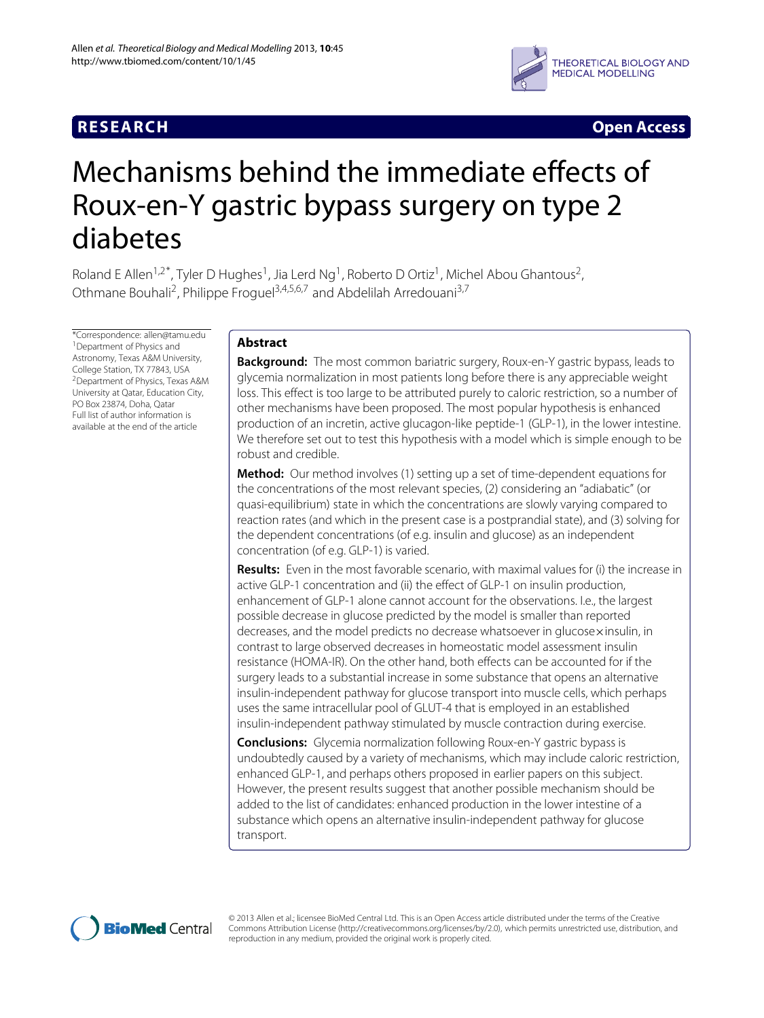# **RESEARCH Open Access**



# Mechanisms behind the immediate effects of Roux-en-Y gastric bypass surgery on type 2 diabetes

Roland E Allen<sup>1,2\*</sup>, Tyler D Hughes<sup>1</sup>, Jia Lerd Ng<sup>1</sup>, Roberto D Ortiz<sup>1</sup>, Michel Abou Ghantous<sup>2</sup>, Othmane Bouhali<sup>2</sup>, Philippe Froguel<sup>3,4,5,6,7</sup> and Abdelilah Arredouani<sup>3,7</sup>

\*Correspondence: allen@tamu.edu 1Department of Physics and Astronomy, Texas A&M University, College Station, TX 77843, USA 2Department of Physics, Texas A&M University at Qatar, Education City, PO Box 23874, Doha, Qatar Full list of author information is available at the end of the article

# **Abstract**

**Background:** The most common bariatric surgery, Roux-en-Y gastric bypass, leads to glycemia normalization in most patients long before there is any appreciable weight loss. This effect is too large to be attributed purely to caloric restriction, so a number of other mechanisms have been proposed. The most popular hypothesis is enhanced production of an incretin, active glucagon-like peptide-1 (GLP-1), in the lower intestine. We therefore set out to test this hypothesis with a model which is simple enough to be robust and credible.

**Method:** Our method involves (1) setting up a set of time-dependent equations for the concentrations of the most relevant species, (2) considering an "adiabatic" (or quasi-equilibrium) state in which the concentrations are slowly varying compared to reaction rates (and which in the present case is a postprandial state), and (3) solving for the dependent concentrations (of e.g. insulin and glucose) as an independent concentration (of e.g. GLP-1) is varied.

**Results:** Even in the most favorable scenario, with maximal values for (i) the increase in active GLP-1 concentration and (ii) the effect of GLP-1 on insulin production, enhancement of GLP-1 alone cannot account for the observations. I.e., the largest possible decrease in glucose predicted by the model is smaller than reported decreases, and the model predicts no decrease whatsoever in glucose×insulin, in contrast to large observed decreases in homeostatic model assessment insulin resistance (HOMA-IR). On the other hand, both effects can be accounted for if the surgery leads to a substantial increase in some substance that opens an alternative insulin-independent pathway for glucose transport into muscle cells, which perhaps uses the same intracellular pool of GLUT-4 that is employed in an established insulin-independent pathway stimulated by muscle contraction during exercise.

**Conclusions:** Glycemia normalization following Roux-en-Y gastric bypass is undoubtedly caused by a variety of mechanisms, which may include caloric restriction, enhanced GLP-1, and perhaps others proposed in earlier papers on this subject. However, the present results suggest that another possible mechanism should be added to the list of candidates: enhanced production in the lower intestine of a substance which opens an alternative insulin-independent pathway for glucose transport.



© 2013 Allen et al.; licensee BioMed Central Ltd. This is an Open Access article distributed under the terms of the Creative Commons Attribution License (http://creativecommons.org/licenses/by/2.0), which permits unrestricted use, distribution, and reproduction in any medium, provided the original work is properly cited.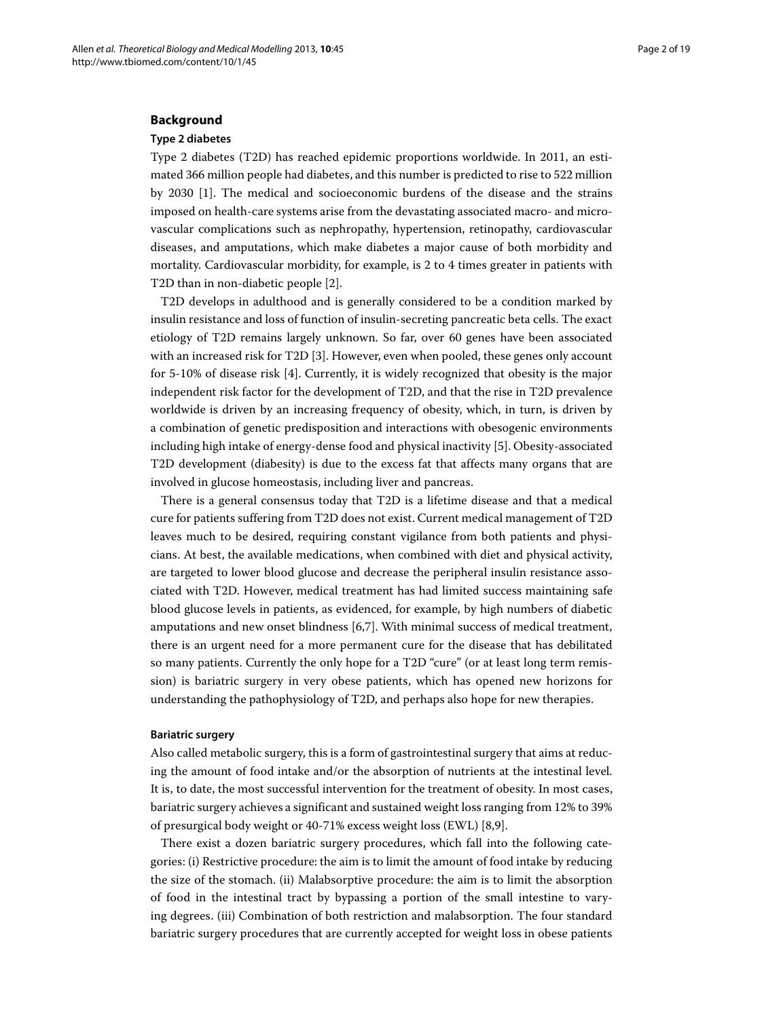#### **Background**

# **Type 2 diabetes**

Type 2 diabetes (T2D) has reached epidemic proportions worldwide. In 2011, an estimated 366 million people had diabetes, and this number is predicted to rise to 522 million by 2030 [\[1\]](#page-15-0). The medical and socioeconomic burdens of the disease and the strains imposed on health-care systems arise from the devastating associated macro- and microvascular complications such as nephropathy, hypertension, retinopathy, cardiovascular diseases, and amputations, which make diabetes a major cause of both morbidity and mortality. Cardiovascular morbidity, for example, is 2 to 4 times greater in patients with T2D than in non-diabetic people [\[2\]](#page-15-1).

T2D develops in adulthood and is generally considered to be a condition marked by insulin resistance and loss of function of insulin-secreting pancreatic beta cells. The exact etiology of T2D remains largely unknown. So far, over 60 genes have been associated with an increased risk for T2D [\[3\]](#page-15-2). However, even when pooled, these genes only account for 5-10% of disease risk [\[4\]](#page-15-3). Currently, it is widely recognized that obesity is the major independent risk factor for the development of T2D, and that the rise in T2D prevalence worldwide is driven by an increasing frequency of obesity, which, in turn, is driven by a combination of genetic predisposition and interactions with obesogenic environments including high intake of energy-dense food and physical inactivity [\[5\]](#page-15-4). Obesity-associated T2D development (diabesity) is due to the excess fat that affects many organs that are involved in glucose homeostasis, including liver and pancreas.

There is a general consensus today that T2D is a lifetime disease and that a medical cure for patients suffering from T2D does not exist. Current medical management of T2D leaves much to be desired, requiring constant vigilance from both patients and physicians. At best, the available medications, when combined with diet and physical activity, are targeted to lower blood glucose and decrease the peripheral insulin resistance associated with T2D. However, medical treatment has had limited success maintaining safe blood glucose levels in patients, as evidenced, for example, by high numbers of diabetic amputations and new onset blindness [\[6](#page-15-5)[,7\]](#page-15-6). With minimal success of medical treatment, there is an urgent need for a more permanent cure for the disease that has debilitated so many patients. Currently the only hope for a T2D "cure" (or at least long term remission) is bariatric surgery in very obese patients, which has opened new horizons for understanding the pathophysiology of T2D, and perhaps also hope for new therapies.

#### **Bariatric surgery**

Also called metabolic surgery, this is a form of gastrointestinal surgery that aims at reducing the amount of food intake and/or the absorption of nutrients at the intestinal level. It is, to date, the most successful intervention for the treatment of obesity. In most cases, bariatric surgery achieves a significant and sustained weight loss ranging from 12% to 39% of presurgical body weight or 40-71% excess weight loss (EWL) [\[8,](#page-15-7)[9\]](#page-15-8).

There exist a dozen bariatric surgery procedures, which fall into the following categories: (i) Restrictive procedure: the aim is to limit the amount of food intake by reducing the size of the stomach. (ii) Malabsorptive procedure: the aim is to limit the absorption of food in the intestinal tract by bypassing a portion of the small intestine to varying degrees. (iii) Combination of both restriction and malabsorption. The four standard bariatric surgery procedures that are currently accepted for weight loss in obese patients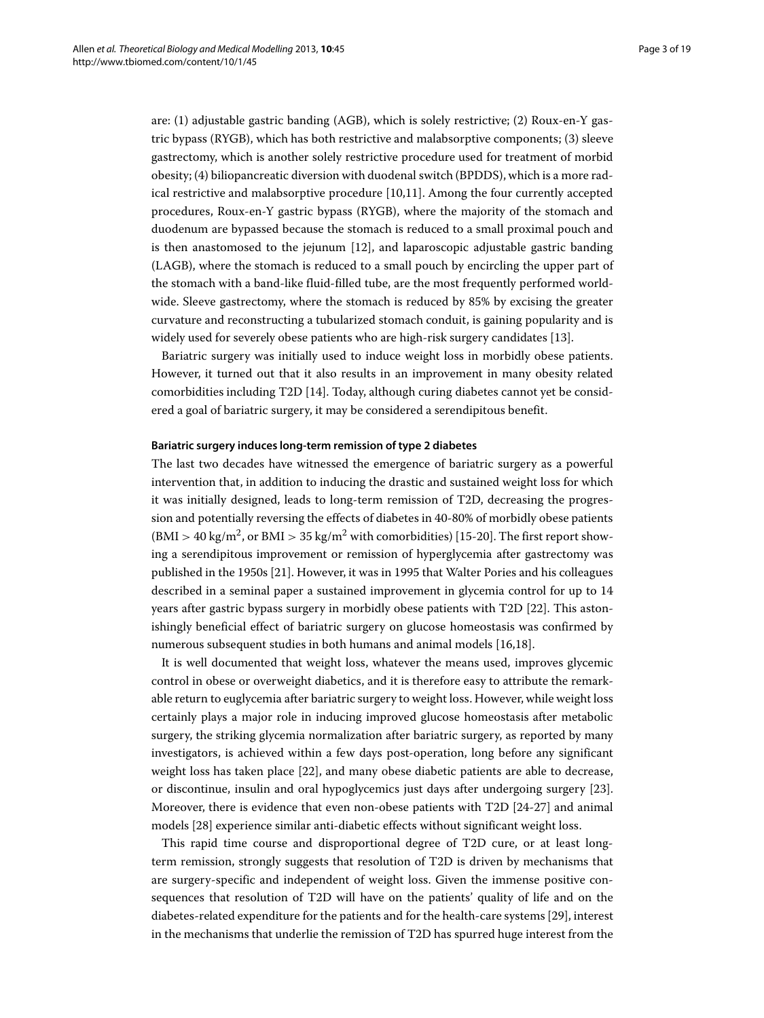are: (1) adjustable gastric banding (AGB), which is solely restrictive; (2) Roux-en-Y gastric bypass (RYGB), which has both restrictive and malabsorptive components; (3) sleeve gastrectomy, which is another solely restrictive procedure used for treatment of morbid obesity; (4) biliopancreatic diversion with duodenal switch (BPDDS), which is a more radical restrictive and malabsorptive procedure [\[10,](#page-15-9)[11\]](#page-15-10). Among the four currently accepted procedures, Roux-en-Y gastric bypass (RYGB), where the majority of the stomach and duodenum are bypassed because the stomach is reduced to a small proximal pouch and is then anastomosed to the jejunum [\[12\]](#page-15-11), and laparoscopic adjustable gastric banding (LAGB), where the stomach is reduced to a small pouch by encircling the upper part of the stomach with a band-like fluid-filled tube, are the most frequently performed worldwide. Sleeve gastrectomy, where the stomach is reduced by 85% by excising the greater curvature and reconstructing a tubularized stomach conduit, is gaining popularity and is widely used for severely obese patients who are high-risk surgery candidates [\[13\]](#page-16-0).

Bariatric surgery was initially used to induce weight loss in morbidly obese patients. However, it turned out that it also results in an improvement in many obesity related comorbidities including T2D [\[14\]](#page-16-1). Today, although curing diabetes cannot yet be considered a goal of bariatric surgery, it may be considered a serendipitous benefit.

#### **Bariatric surgery induces long-term remission of type 2 diabetes**

The last two decades have witnessed the emergence of bariatric surgery as a powerful intervention that, in addition to inducing the drastic and sustained weight loss for which it was initially designed, leads to long-term remission of T2D, decreasing the progression and potentially reversing the effects of diabetes in 40-80% of morbidly obese patients  $(MI > 40 \text{ kg/m}^2$ , or BMI  $> 35 \text{ kg/m}^2$  with comorbidities) [\[15-](#page-16-2)[20\]](#page-16-3). The first report showing a serendipitous improvement or remission of hyperglycemia after gastrectomy was published in the 1950s [\[21\]](#page-16-4). However, it was in 1995 that Walter Pories and his colleagues described in a seminal paper a sustained improvement in glycemia control for up to 14 years after gastric bypass surgery in morbidly obese patients with T2D [\[22\]](#page-16-5). This astonishingly beneficial effect of bariatric surgery on glucose homeostasis was confirmed by numerous subsequent studies in both humans and animal models [\[16](#page-16-6)[,18\]](#page-16-7).

It is well documented that weight loss, whatever the means used, improves glycemic control in obese or overweight diabetics, and it is therefore easy to attribute the remarkable return to euglycemia after bariatric surgery to weight loss. However, while weight loss certainly plays a major role in inducing improved glucose homeostasis after metabolic surgery, the striking glycemia normalization after bariatric surgery, as reported by many investigators, is achieved within a few days post-operation, long before any significant weight loss has taken place [\[22\]](#page-16-5), and many obese diabetic patients are able to decrease, or discontinue, insulin and oral hypoglycemics just days after undergoing surgery [\[23\]](#page-16-8). Moreover, there is evidence that even non-obese patients with T2D [\[24-](#page-16-9)[27\]](#page-16-10) and animal models [\[28\]](#page-16-11) experience similar anti-diabetic effects without significant weight loss.

This rapid time course and disproportional degree of T2D cure, or at least longterm remission, strongly suggests that resolution of T2D is driven by mechanisms that are surgery-specific and independent of weight loss. Given the immense positive consequences that resolution of T2D will have on the patients' quality of life and on the diabetes-related expenditure for the patients and for the health-care systems [\[29\]](#page-16-12), interest in the mechanisms that underlie the remission of T2D has spurred huge interest from the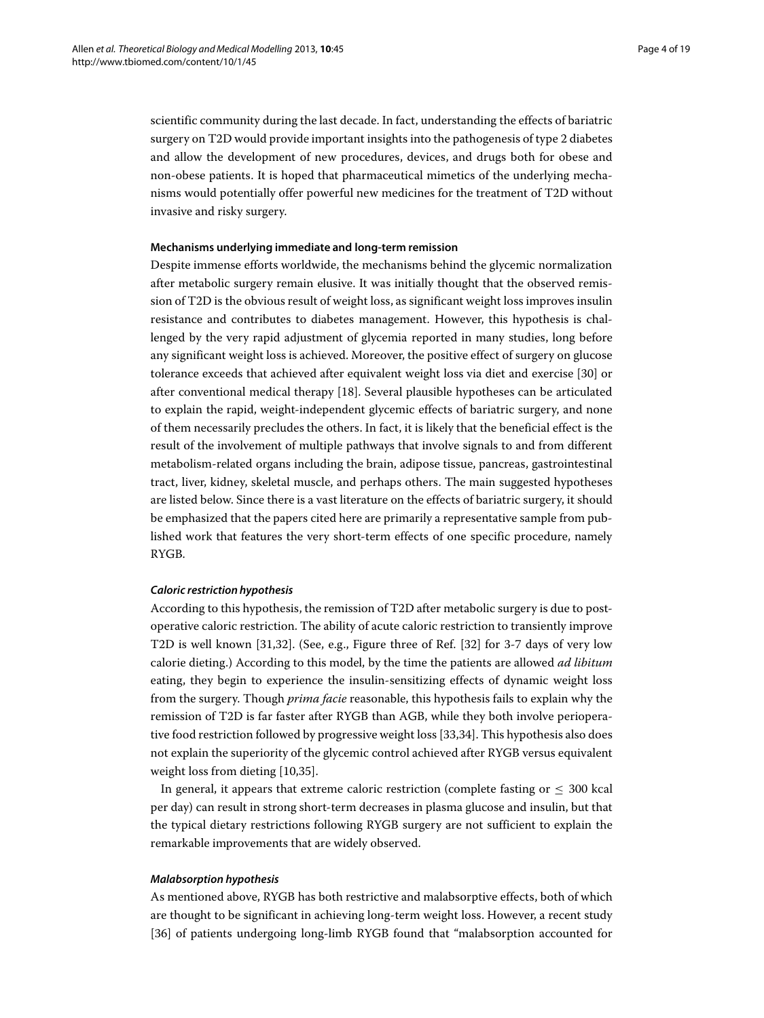scientific community during the last decade. In fact, understanding the effects of bariatric surgery on T2D would provide important insights into the pathogenesis of type 2 diabetes and allow the development of new procedures, devices, and drugs both for obese and non-obese patients. It is hoped that pharmaceutical mimetics of the underlying mechanisms would potentially offer powerful new medicines for the treatment of T2D without invasive and risky surgery.

### **Mechanisms underlying immediate and long-term remission**

Despite immense efforts worldwide, the mechanisms behind the glycemic normalization after metabolic surgery remain elusive. It was initially thought that the observed remission of T2D is the obvious result of weight loss, as significant weight loss improves insulin resistance and contributes to diabetes management. However, this hypothesis is challenged by the very rapid adjustment of glycemia reported in many studies, long before any significant weight loss is achieved. Moreover, the positive effect of surgery on glucose tolerance exceeds that achieved after equivalent weight loss via diet and exercise [\[30\]](#page-16-13) or after conventional medical therapy [\[18\]](#page-16-7). Several plausible hypotheses can be articulated to explain the rapid, weight-independent glycemic effects of bariatric surgery, and none of them necessarily precludes the others. In fact, it is likely that the beneficial effect is the result of the involvement of multiple pathways that involve signals to and from different metabolism-related organs including the brain, adipose tissue, pancreas, gastrointestinal tract, liver, kidney, skeletal muscle, and perhaps others. The main suggested hypotheses are listed below. Since there is a vast literature on the effects of bariatric surgery, it should be emphasized that the papers cited here are primarily a representative sample from published work that features the very short-term effects of one specific procedure, namely RYGB.

# *Caloric restriction hypothesis*

According to this hypothesis, the remission of T2D after metabolic surgery is due to postoperative caloric restriction. The ability of acute caloric restriction to transiently improve T2D is well known [\[31,](#page-16-14)[32\]](#page-16-15). (See, e.g., Figure three of Ref. [\[32\]](#page-16-15) for 3-7 days of very low calorie dieting.) According to this model, by the time the patients are allowed *ad libitum* eating, they begin to experience the insulin-sensitizing effects of dynamic weight loss from the surgery. Though *prima facie* reasonable, this hypothesis fails to explain why the remission of T2D is far faster after RYGB than AGB, while they both involve perioperative food restriction followed by progressive weight loss [\[33](#page-16-16)[,34\]](#page-16-17). This hypothesis also does not explain the superiority of the glycemic control achieved after RYGB versus equivalent weight loss from dieting [\[10,](#page-15-9)[35\]](#page-16-18).

In general, it appears that extreme caloric restriction (complete fasting or  $\leq 300$  kcal per day) can result in strong short-term decreases in plasma glucose and insulin, but that the typical dietary restrictions following RYGB surgery are not sufficient to explain the remarkable improvements that are widely observed.

#### *Malabsorption hypothesis*

As mentioned above, RYGB has both restrictive and malabsorptive effects, both of which are thought to be significant in achieving long-term weight loss. However, a recent study [\[36\]](#page-16-19) of patients undergoing long-limb RYGB found that "malabsorption accounted for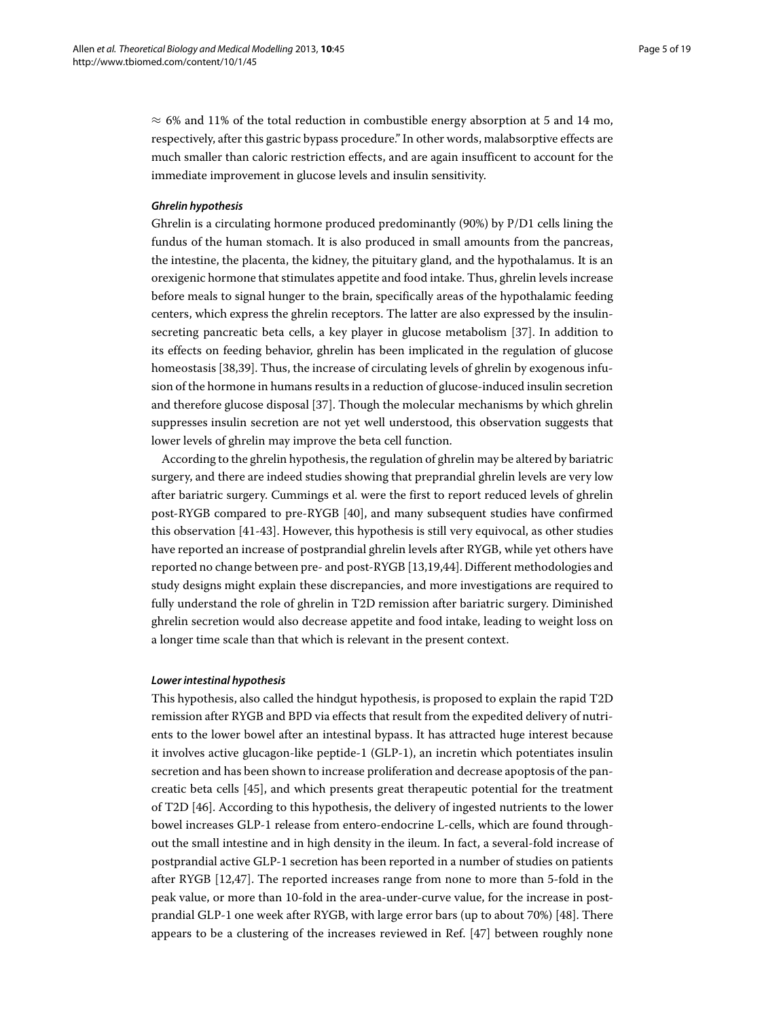$\approx$  6% and 11% of the total reduction in combustible energy absorption at 5 and 14 mo, respectively, after this gastric bypass procedure." In other words, malabsorptive effects are much smaller than caloric restriction effects, and are again insufficent to account for the immediate improvement in glucose levels and insulin sensitivity.

### *Ghrelin hypothesis*

Ghrelin is a circulating hormone produced predominantly (90%) by P/D1 cells lining the fundus of the human stomach. It is also produced in small amounts from the pancreas, the intestine, the placenta, the kidney, the pituitary gland, and the hypothalamus. It is an orexigenic hormone that stimulates appetite and food intake. Thus, ghrelin levels increase before meals to signal hunger to the brain, specifically areas of the hypothalamic feeding centers, which express the ghrelin receptors. The latter are also expressed by the insulinsecreting pancreatic beta cells, a key player in glucose metabolism [\[37\]](#page-16-20). In addition to its effects on feeding behavior, ghrelin has been implicated in the regulation of glucose homeostasis [\[38](#page-16-21)[,39\]](#page-16-22). Thus, the increase of circulating levels of ghrelin by exogenous infusion of the hormone in humans results in a reduction of glucose-induced insulin secretion and therefore glucose disposal [\[37\]](#page-16-20). Though the molecular mechanisms by which ghrelin suppresses insulin secretion are not yet well understood, this observation suggests that lower levels of ghrelin may improve the beta cell function.

According to the ghrelin hypothesis, the regulation of ghrelin may be altered by bariatric surgery, and there are indeed studies showing that preprandial ghrelin levels are very low after bariatric surgery. Cummings et al. were the first to report reduced levels of ghrelin post-RYGB compared to pre-RYGB [\[40\]](#page-16-23), and many subsequent studies have confirmed this observation [\[41-](#page-16-24)[43\]](#page-17-0). However, this hypothesis is still very equivocal, as other studies have reported an increase of postprandial ghrelin levels after RYGB, while yet others have reported no change between pre- and post-RYGB [\[13](#page-16-0)[,19](#page-16-25)[,44\]](#page-17-1). Different methodologies and study designs might explain these discrepancies, and more investigations are required to fully understand the role of ghrelin in T2D remission after bariatric surgery. Diminished ghrelin secretion would also decrease appetite and food intake, leading to weight loss on a longer time scale than that which is relevant in the present context.

#### *Lower intestinal hypothesis*

This hypothesis, also called the hindgut hypothesis, is proposed to explain the rapid T2D remission after RYGB and BPD via effects that result from the expedited delivery of nutrients to the lower bowel after an intestinal bypass. It has attracted huge interest because it involves active glucagon-like peptide-1 (GLP-1), an incretin which potentiates insulin secretion and has been shown to increase proliferation and decrease apoptosis of the pancreatic beta cells [\[45\]](#page-17-2), and which presents great therapeutic potential for the treatment of T2D [\[46\]](#page-17-3). According to this hypothesis, the delivery of ingested nutrients to the lower bowel increases GLP-1 release from entero-endocrine L-cells, which are found throughout the small intestine and in high density in the ileum. In fact, a several-fold increase of postprandial active GLP-1 secretion has been reported in a number of studies on patients after RYGB [\[12,](#page-15-11)[47\]](#page-17-4). The reported increases range from none to more than 5-fold in the peak value, or more than 10-fold in the area-under-curve value, for the increase in postprandial GLP-1 one week after RYGB, with large error bars (up to about 70%) [\[48\]](#page-17-5). There appears to be a clustering of the increases reviewed in Ref. [\[47\]](#page-17-4) between roughly none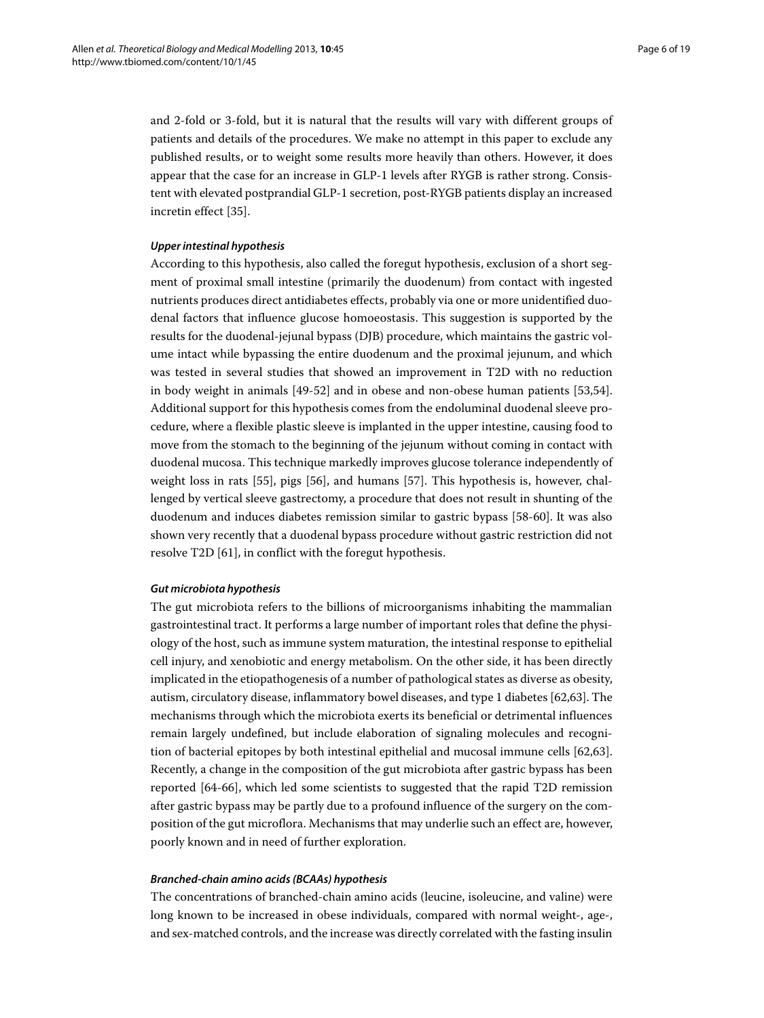and 2-fold or 3-fold, but it is natural that the results will vary with different groups of patients and details of the procedures. We make no attempt in this paper to exclude any published results, or to weight some results more heavily than others. However, it does appear that the case for an increase in GLP-1 levels after RYGB is rather strong. Consistent with elevated postprandial GLP-1 secretion, post-RYGB patients display an increased incretin effect [\[35\]](#page-16-18).

# *Upper intestinal hypothesis*

According to this hypothesis, also called the foregut hypothesis, exclusion of a short segment of proximal small intestine (primarily the duodenum) from contact with ingested nutrients produces direct antidiabetes effects, probably via one or more unidentified duodenal factors that influence glucose homoeostasis. This suggestion is supported by the results for the duodenal-jejunal bypass (DJB) procedure, which maintains the gastric volume intact while bypassing the entire duodenum and the proximal jejunum, and which was tested in several studies that showed an improvement in T2D with no reduction in body weight in animals [\[49](#page-17-6)[-52\]](#page-17-7) and in obese and non-obese human patients [\[53](#page-17-8)[,54\]](#page-17-9). Additional support for this hypothesis comes from the endoluminal duodenal sleeve procedure, where a flexible plastic sleeve is implanted in the upper intestine, causing food to move from the stomach to the beginning of the jejunum without coming in contact with duodenal mucosa. This technique markedly improves glucose tolerance independently of weight loss in rats [\[55\]](#page-17-10), pigs [\[56\]](#page-17-11), and humans [\[57\]](#page-17-12). This hypothesis is, however, challenged by vertical sleeve gastrectomy, a procedure that does not result in shunting of the duodenum and induces diabetes remission similar to gastric bypass [\[58-](#page-17-13)[60\]](#page-17-14). It was also shown very recently that a duodenal bypass procedure without gastric restriction did not resolve T2D [\[61\]](#page-17-15), in conflict with the foregut hypothesis.

#### *Gut microbiota hypothesis*

The gut microbiota refers to the billions of microorganisms inhabiting the mammalian gastrointestinal tract. It performs a large number of important roles that define the physiology of the host, such as immune system maturation, the intestinal response to epithelial cell injury, and xenobiotic and energy metabolism. On the other side, it has been directly implicated in the etiopathogenesis of a number of pathological states as diverse as obesity, autism, circulatory disease, inflammatory bowel diseases, and type 1 diabetes [\[62,](#page-17-16)[63\]](#page-17-17). The mechanisms through which the microbiota exerts its beneficial or detrimental influences remain largely undefined, but include elaboration of signaling molecules and recognition of bacterial epitopes by both intestinal epithelial and mucosal immune cells [\[62](#page-17-16)[,63\]](#page-17-17). Recently, a change in the composition of the gut microbiota after gastric bypass has been reported [\[64](#page-17-18)[-66\]](#page-17-19), which led some scientists to suggested that the rapid T2D remission after gastric bypass may be partly due to a profound influence of the surgery on the composition of the gut microflora. Mechanisms that may underlie such an effect are, however, poorly known and in need of further exploration.

#### *Branched-chain amino acids (BCAAs) hypothesis*

The concentrations of branched-chain amino acids (leucine, isoleucine, and valine) were long known to be increased in obese individuals, compared with normal weight-, age-, and sex-matched controls, and the increase was directly correlated with the fasting insulin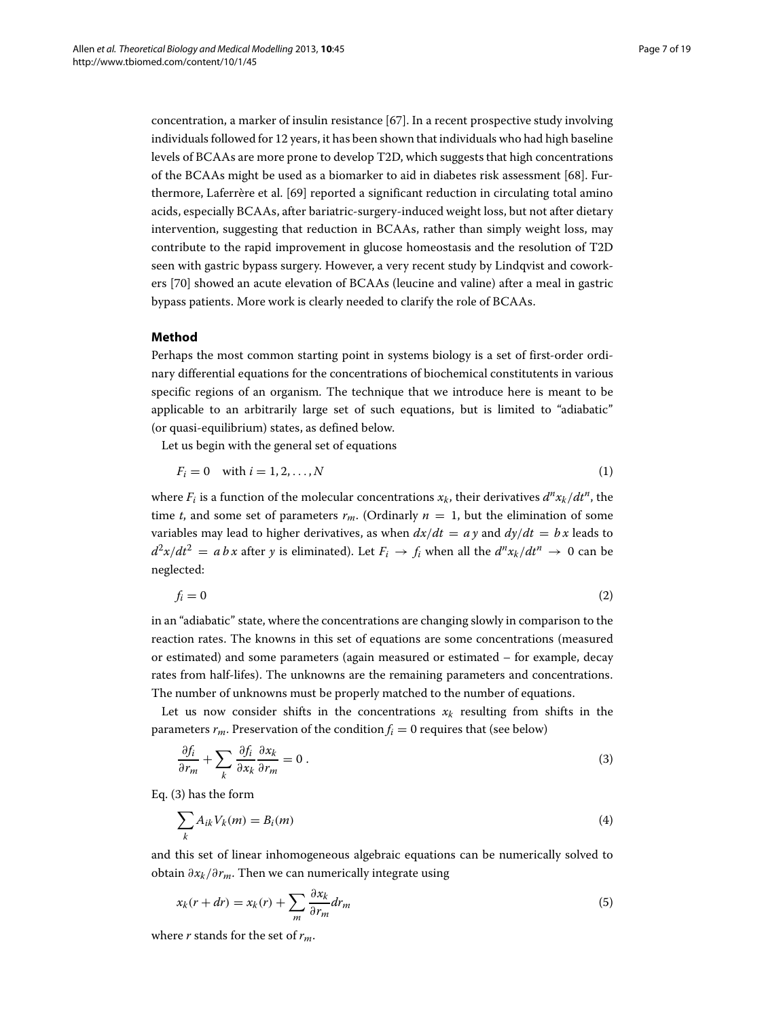concentration, a marker of insulin resistance [\[67\]](#page-17-20). In a recent prospective study involving individuals followed for 12 years, it has been shown that individuals who had high baseline levels of BCAAs are more prone to develop T2D, which suggests that high concentrations of the BCAAs might be used as a biomarker to aid in diabetes risk assessment [\[68\]](#page-17-21). Furthermore, Laferrère et al. [\[69\]](#page-17-22) reported a significant reduction in circulating total amino acids, especially BCAAs, after bariatric-surgery-induced weight loss, but not after dietary intervention, suggesting that reduction in BCAAs, rather than simply weight loss, may contribute to the rapid improvement in glucose homeostasis and the resolution of T2D seen with gastric bypass surgery. However, a very recent study by Lindqvist and coworkers [\[70\]](#page-18-0) showed an acute elevation of BCAAs (leucine and valine) after a meal in gastric bypass patients. More work is clearly needed to clarify the role of BCAAs.

## **Method**

Perhaps the most common starting point in systems biology is a set of first-order ordinary differential equations for the concentrations of biochemical constitutents in various specific regions of an organism. The technique that we introduce here is meant to be applicable to an arbitrarily large set of such equations, but is limited to "adiabatic" (or quasi-equilibrium) states, as defined below.

Let us begin with the general set of equations

$$
F_i = 0 \quad \text{with } i = 1, 2, \dots, N \tag{1}
$$

where  $F_i$  is a function of the molecular concentrations  $x_k$ , their derivatives  $d^n x_k/dt^n$ , the time *t*, and some set of parameters  $r_m$ . (Ordinarly  $n = 1$ , but the elimination of some variables may lead to higher derivatives, as when  $dx/dt = ay$  and  $dy/dt = bx$  leads to  $d^2x/dt^2 = abx$  after *y* is eliminated). Let  $F_i \rightarrow f_i$  when all the  $d^nx_k/dt^n \rightarrow 0$  can be neglected:

$$
f_i = 0 \tag{2}
$$

in an "adiabatic" state, where the concentrations are changing slowly in comparison to the reaction rates. The knowns in this set of equations are some concentrations (measured or estimated) and some parameters (again measured or estimated – for example, decay rates from half-lifes). The unknowns are the remaining parameters and concentrations. The number of unknowns must be properly matched to the number of equations.

Let us now consider shifts in the concentrations  $x_k$  resulting from shifts in the parameters  $r_m$ . Preservation of the condition  $f_i = 0$  requires that (see below)

<span id="page-6-0"></span>
$$
\frac{\partial f_i}{\partial r_m} + \sum_k \frac{\partial f_i}{\partial x_k} \frac{\partial x_k}{\partial r_m} = 0.
$$
\n(3)

Eq. [\(3\)](#page-6-0) has the form

$$
\sum_{k} A_{ik} V_k(m) = B_i(m) \tag{4}
$$

and this set of linear inhomogeneous algebraic equations can be numerically solved to obtain ∂*xk*/∂*rm*. Then we can numerically integrate using

$$
x_k(r+dr) = x_k(r) + \sum_m \frac{\partial x_k}{\partial r_m} dr_m \tag{5}
$$

where *r* stands for the set of *rm*.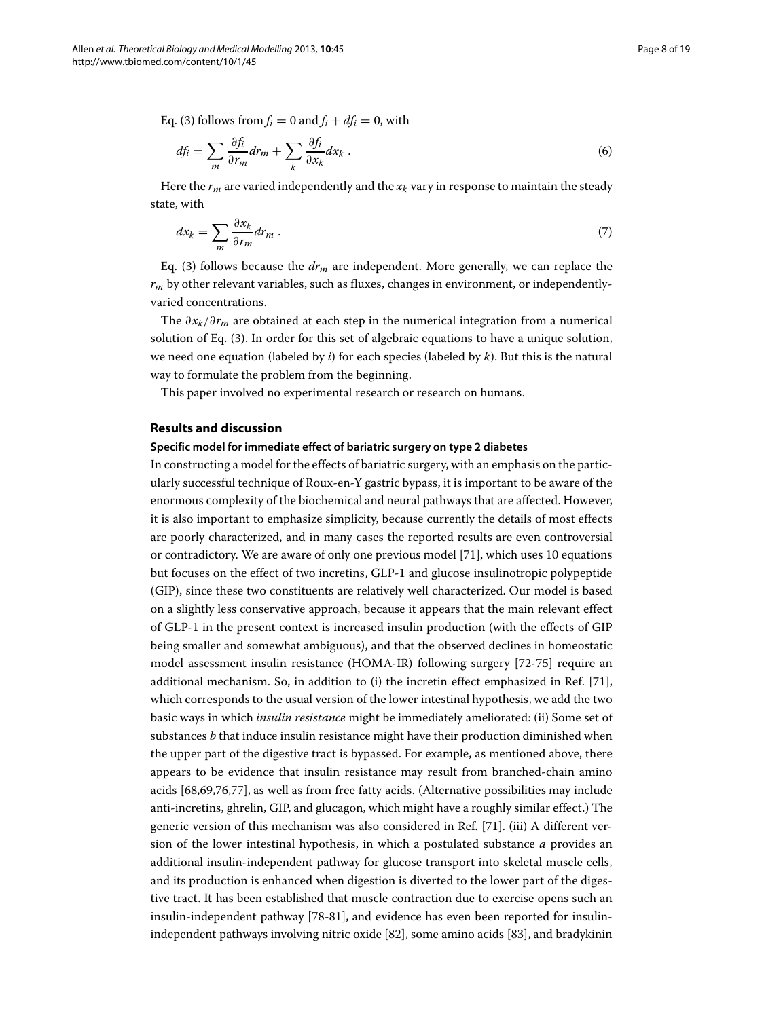Eq. [\(3\)](#page-6-0) follows from  $f_i = 0$  and  $f_i + df_i = 0$ , with

$$
df_i = \sum_m \frac{\partial f_i}{\partial r_m} dr_m + \sum_k \frac{\partial f_i}{\partial x_k} dx_k . \tag{6}
$$

Here the  $r_m$  are varied independently and the  $x_k$  vary in response to maintain the steady state, with

$$
dx_k = \sum_m \frac{\partial x_k}{\partial r_m} dr_m \,. \tag{7}
$$

Eq. [\(3\)](#page-6-0) follows because the *drm* are independent. More generally, we can replace the *rm* by other relevant variables, such as fluxes, changes in environment, or independentlyvaried concentrations.

The ∂*xk*/∂*rm* are obtained at each step in the numerical integration from a numerical solution of Eq. [\(3\)](#page-6-0). In order for this set of algebraic equations to have a unique solution, we need one equation (labeled by *i*) for each species (labeled by *k*). But this is the natural way to formulate the problem from the beginning.

This paper involved no experimental research or research on humans.

#### **Results and discussion**

# **Specific model for immediate effect of bariatric surgery on type 2 diabetes**

In constructing a model for the effects of bariatric surgery, with an emphasis on the particularly successful technique of Roux-en-Y gastric bypass, it is important to be aware of the enormous complexity of the biochemical and neural pathways that are affected. However, it is also important to emphasize simplicity, because currently the details of most effects are poorly characterized, and in many cases the reported results are even controversial or contradictory. We are aware of only one previous model [\[71\]](#page-18-1), which uses 10 equations but focuses on the effect of two incretins, GLP-1 and glucose insulinotropic polypeptide (GIP), since these two constituents are relatively well characterized. Our model is based on a slightly less conservative approach, because it appears that the main relevant effect of GLP-1 in the present context is increased insulin production (with the effects of GIP being smaller and somewhat ambiguous), and that the observed declines in homeostatic model assessment insulin resistance (HOMA-IR) following surgery [\[72-](#page-18-2)[75\]](#page-18-3) require an additional mechanism. So, in addition to (i) the incretin effect emphasized in Ref. [\[71\]](#page-18-1), which corresponds to the usual version of the lower intestinal hypothesis, we add the two basic ways in which *insulin resistance* might be immediately ameliorated: (ii) Some set of substances *b* that induce insulin resistance might have their production diminished when the upper part of the digestive tract is bypassed. For example, as mentioned above, there appears to be evidence that insulin resistance may result from branched-chain amino acids [\[68,](#page-17-21)[69,](#page-17-22)[76,](#page-18-4)[77\]](#page-18-5), as well as from free fatty acids. (Alternative possibilities may include anti-incretins, ghrelin, GIP, and glucagon, which might have a roughly similar effect.) The generic version of this mechanism was also considered in Ref. [\[71\]](#page-18-1). (iii) A different version of the lower intestinal hypothesis, in which a postulated substance *a* provides an additional insulin-independent pathway for glucose transport into skeletal muscle cells, and its production is enhanced when digestion is diverted to the lower part of the digestive tract. It has been established that muscle contraction due to exercise opens such an insulin-independent pathway [\[78-](#page-18-6)[81\]](#page-18-7), and evidence has even been reported for insulinindependent pathways involving nitric oxide [\[82\]](#page-18-8), some amino acids [\[83\]](#page-18-9), and bradykinin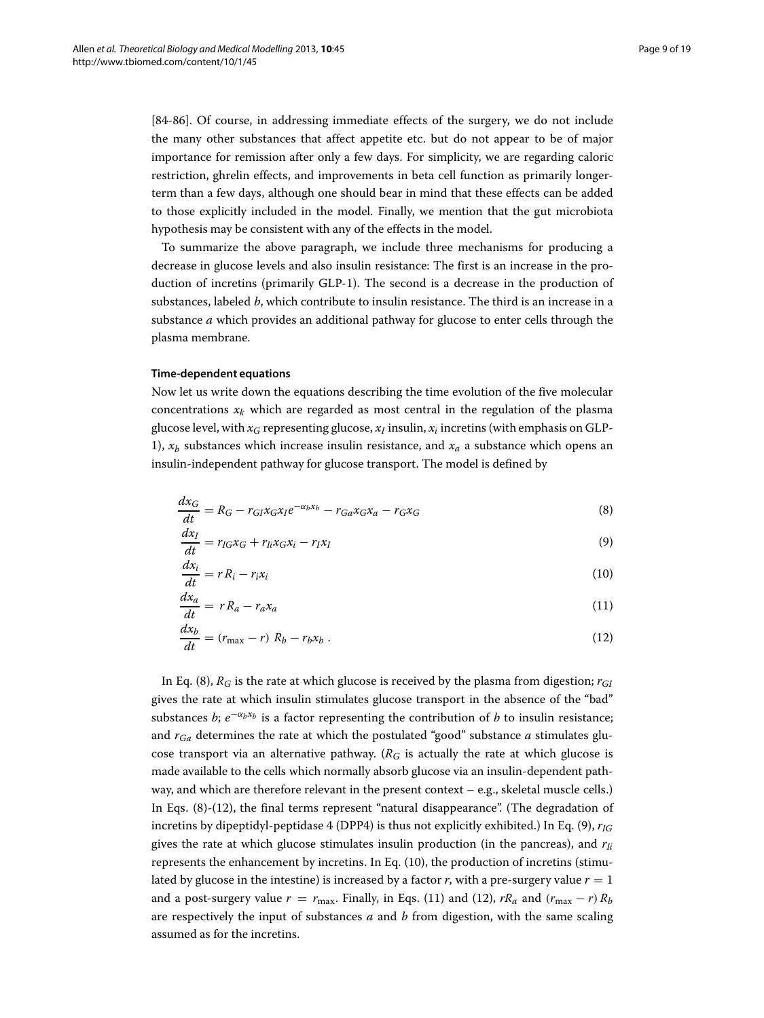[\[84-](#page-18-10)[86\]](#page-18-11). Of course, in addressing immediate effects of the surgery, we do not include the many other substances that affect appetite etc. but do not appear to be of major importance for remission after only a few days. For simplicity, we are regarding caloric restriction, ghrelin effects, and improvements in beta cell function as primarily longerterm than a few days, although one should bear in mind that these effects can be added to those explicitly included in the model. Finally, we mention that the gut microbiota hypothesis may be consistent with any of the effects in the model.

To summarize the above paragraph, we include three mechanisms for producing a decrease in glucose levels and also insulin resistance: The first is an increase in the production of incretins (primarily GLP-1). The second is a decrease in the production of substances, labeled *b*, which contribute to insulin resistance. The third is an increase in a substance *a* which provides an additional pathway for glucose to enter cells through the plasma membrane.

#### **Time-dependent equations**

Now let us write down the equations describing the time evolution of the five molecular concentrations  $x_k$  which are regarded as most central in the regulation of the plasma glucose level, with  $x_G$  representing glucose,  $x_I$  insulin,  $x_i$  incretins (with emphasis on GLP-1),  $x_h$  substances which increase insulin resistance, and  $x_a$  a substance which opens an insulin-independent pathway for glucose transport. The model is defined by

<span id="page-8-0"></span>
$$
\frac{dx_G}{dt} = R_G - r_{GI}x_Gx_Ie^{-\alpha_b x_b} - r_{Ga}x_Gx_a - r_Gx_G\tag{8}
$$

$$
\frac{dx_I}{dt} = r_{IG}x_G + r_{Ii}x_Gx_i - r_{I}x_I
$$
\n(9)

<span id="page-8-3"></span><span id="page-8-2"></span>
$$
\frac{dx_i}{dt} = rR_i - r_i x_i \tag{10}
$$

<span id="page-8-4"></span><span id="page-8-1"></span>
$$
\frac{dx_a}{dt} = rR_a - r_a x_a \tag{11}
$$

$$
\frac{dx_b}{dt} = (r_{\text{max}} - r) R_b - r_b x_b \,. \tag{12}
$$

In Eq. [\(8\)](#page-8-0),  $R_G$  is the rate at which glucose is received by the plasma from digestion;  $r_{GI}$ gives the rate at which insulin stimulates glucose transport in the absence of the "bad" substances *b*;  $e^{-\alpha_b x_b}$  is a factor representing the contribution of *b* to insulin resistance; and *rGa* determines the rate at which the postulated "good" substance *a* stimulates glucose transport via an alternative pathway. ( $R_G$  is actually the rate at which glucose is made available to the cells which normally absorb glucose via an insulin-dependent pathway, and which are therefore relevant in the present context – e.g., skeletal muscle cells.) In Eqs. [\(8\)](#page-8-0)-[\(12\)](#page-8-1), the final terms represent "natural disappearance". (The degradation of incretins by dipeptidyl-peptidase 4 (DPP4) is thus not explicitly exhibited.) In Eq. [\(9\)](#page-8-2), *rIG* gives the rate at which glucose stimulates insulin production (in the pancreas), and  $r_{li}$ represents the enhancement by incretins. In Eq. [\(10\)](#page-8-3), the production of incretins (stimulated by glucose in the intestine) is increased by a factor  $r$ , with a pre-surgery value  $r = 1$ and a post-surgery value  $r = r_{\text{max}}$ . Finally, in Eqs. [\(11\)](#page-8-4) and [\(12\)](#page-8-1),  $rR_a$  and  $(r_{\text{max}} - r)R_b$ are respectively the input of substances *a* and *b* from digestion, with the same scaling assumed as for the incretins.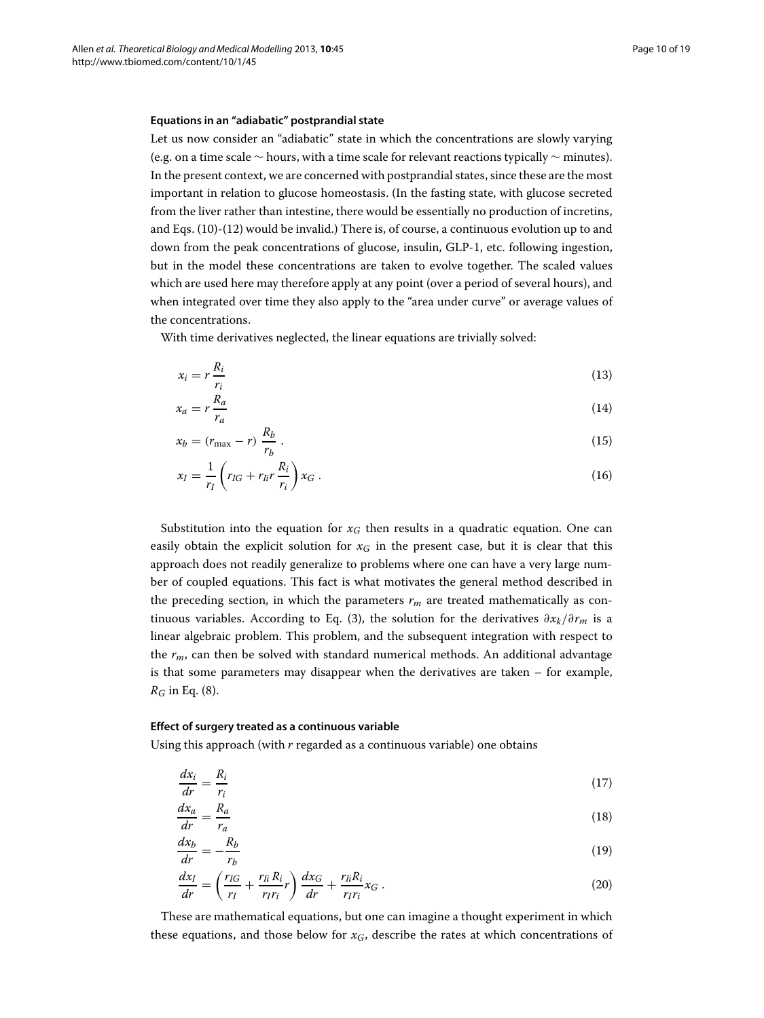### **Equations in an "adiabatic" postprandial state**

Let us now consider an "adiabatic" state in which the concentrations are slowly varying (e.g. on a time scale ∼ hours, with a time scale for relevant reactions typically ∼ minutes). In the present context, we are concerned with postprandial states, since these are the most important in relation to glucose homeostasis. (In the fasting state, with glucose secreted from the liver rather than intestine, there would be essentially no production of incretins, and Eqs. [\(10\)](#page-8-3)-[\(12\)](#page-8-1) would be invalid.) There is, of course, a continuous evolution up to and down from the peak concentrations of glucose, insulin, GLP-1, etc. following ingestion, but in the model these concentrations are taken to evolve together. The scaled values which are used here may therefore apply at any point (over a period of several hours), and when integrated over time they also apply to the "area under curve" or average values of the concentrations.

With time derivatives neglected, the linear equations are trivially solved:

<span id="page-9-0"></span>
$$
x_i = r \frac{R_i}{r_i} \tag{13}
$$

$$
x_a = r \frac{R_a}{r_a} \tag{14}
$$

$$
x_b = (r_{\text{max}} - r) \frac{R_b}{r_b} \,. \tag{15}
$$

<span id="page-9-1"></span>
$$
x_I = \frac{1}{r_I} \left( r_{IG} + r_{II} r \frac{R_i}{r_i} \right) x_G \,. \tag{16}
$$

Substitution into the equation for  $x_G$  then results in a quadratic equation. One can easily obtain the explicit solution for *xG* in the present case, but it is clear that this approach does not readily generalize to problems where one can have a very large number of coupled equations. This fact is what motivates the general method described in the preceding section, in which the parameters  $r_m$  are treated mathematically as continuous variables. According to Eq. [\(3\)](#page-6-0), the solution for the derivatives ∂*xk*/∂*rm* is a linear algebraic problem. This problem, and the subsequent integration with respect to the *rm*, can then be solved with standard numerical methods. An additional advantage is that some parameters may disappear when the derivatives are taken – for example, *RG* in Eq. [\(8\)](#page-8-0).

#### **Effect of surgery treated as a continuous variable**

Using this approach (with *r* regarded as a continuous variable) one obtains

$$
\frac{dx_i}{dr} = \frac{R_i}{r_i} \tag{17}
$$

$$
\frac{dx_a}{dr} = \frac{R_a}{r_a} \tag{18}
$$

$$
\frac{dx_b}{dr} = -\frac{R_b}{r_b} \tag{19}
$$

$$
\frac{dx_I}{dr} = \left(\frac{r_{IG}}{r_I} + \frac{r_{Ii}R_i}{r_{I}r_i}r\right)\frac{dx_G}{dr} + \frac{r_{Ii}R_i}{r_{I}r_i}x_G\,. \tag{20}
$$

These are mathematical equations, but one can imagine a thought experiment in which these equations, and those below for  $x_G$ , describe the rates at which concentrations of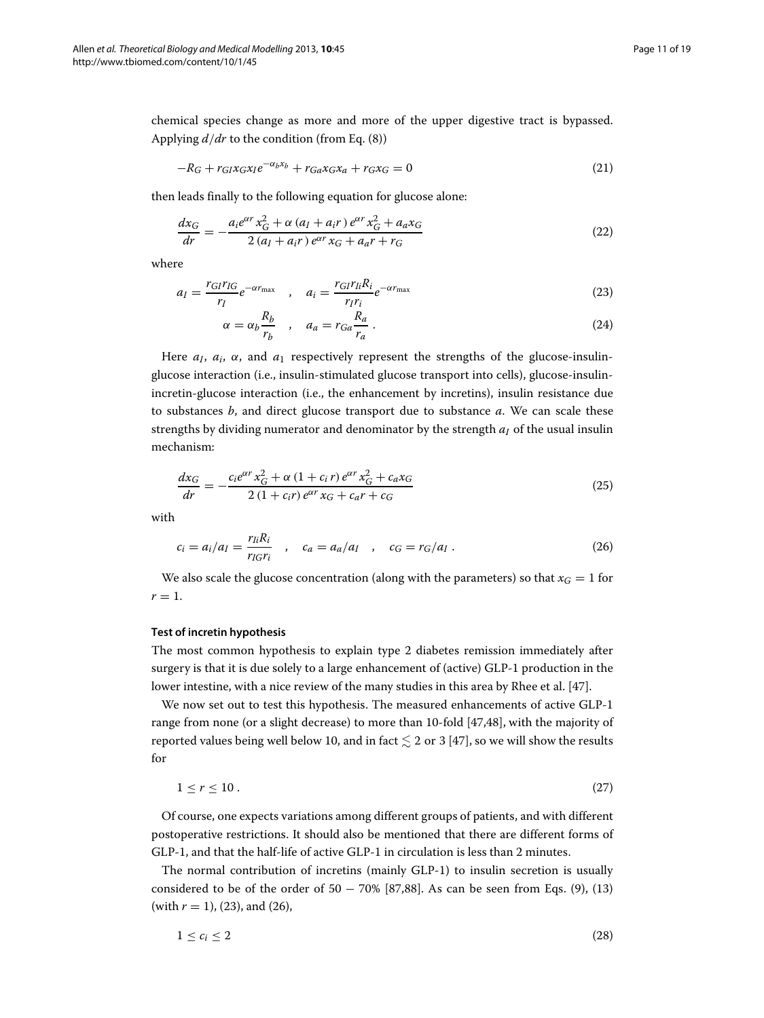chemical species change as more and more of the upper digestive tract is bypassed. Applying *d*/*dr* to the condition (from Eq. [\(8\)](#page-8-0))

$$
-R_G + r_{GI}x_Gx_Ie^{-\alpha_bx_b} + r_{Ga}x_Gx_a + r_Gx_G = 0
$$
\n<sup>(21)</sup>

then leads finally to the following equation for glucose alone:

$$
\frac{dx_G}{dr} = -\frac{a_i e^{\alpha r} x_G^2 + \alpha (a_I + a_{i}r) e^{\alpha r} x_G^2 + a_a x_G}{2 (a_I + a_{i}r) e^{\alpha r} x_G + a_a r + r_G}
$$
\n(22)

where

$$
a_{I} = \frac{r_{GI}r_{IG}}{r_{I}}e^{-\alpha r_{\text{max}}}, \quad a_{i} = \frac{r_{GI}r_{li}R_{i}}{r_{I}r_{i}}e^{-\alpha r_{\text{max}}}
$$
(23)

<span id="page-10-3"></span><span id="page-10-2"></span><span id="page-10-0"></span>
$$
\alpha = \alpha_b \frac{R_b}{r_b} \quad , \quad a_a = r_{Ga} \frac{R_a}{r_a} \,. \tag{24}
$$

Here  $a_i$ ,  $a_i$ ,  $\alpha$ , and  $a_1$  respectively represent the strengths of the glucose-insulinglucose interaction (i.e., insulin-stimulated glucose transport into cells), glucose-insulinincretin-glucose interaction (i.e., the enhancement by incretins), insulin resistance due to substances *b*, and direct glucose transport due to substance *a*. We can scale these strengths by dividing numerator and denominator by the strength  $a<sub>I</sub>$  of the usual insulin mechanism:

$$
\frac{dx_G}{dr} = -\frac{c_i e^{\alpha r} x_G^2 + \alpha (1 + c_i r) e^{\alpha r} x_G^2 + c_a x_G}{2 (1 + c_i r) e^{\alpha r} x_G + c_a r + c_G}
$$
\n(25)

with

<span id="page-10-1"></span>
$$
c_i = a_i/a_I = \frac{r_{Ii}R_i}{r_{IG}r_i} \quad , \quad c_a = a_a/a_I \quad , \quad c_G = r_G/a_I \; . \tag{26}
$$

We also scale the glucose concentration (along with the parameters) so that  $x_G = 1$  for  $r=1$ .

#### **Test of incretin hypothesis**

The most common hypothesis to explain type 2 diabetes remission immediately after surgery is that it is due solely to a large enhancement of (active) GLP-1 production in the lower intestine, with a nice review of the many studies in this area by Rhee et al. [\[47\]](#page-17-4).

We now set out to test this hypothesis. The measured enhancements of active GLP-1 range from none (or a slight decrease) to more than 10-fold [\[47,](#page-17-4)[48\]](#page-17-5), with the majority of reported values being well below 10, and in fact  $\lesssim$  2 or 3 [\[47\]](#page-17-4), so we will show the results for

$$
1 \le r \le 10. \tag{27}
$$

Of course, one expects variations among different groups of patients, and with different postoperative restrictions. It should also be mentioned that there are different forms of GLP-1, and that the half-life of active GLP-1 in circulation is less than 2 minutes.

The normal contribution of incretins (mainly GLP-1) to insulin secretion is usually considered to be of the order of  $50 - 70\%$  [\[87](#page-18-12)[,88\]](#page-18-13). As can be seen from Eqs. [\(9\)](#page-8-2), [\(13\)](#page-9-0) (with *r* = 1), [\(23\)](#page-10-0), and [\(26\)](#page-10-1),

$$
1 \leq c_i \leq 2 \tag{28}
$$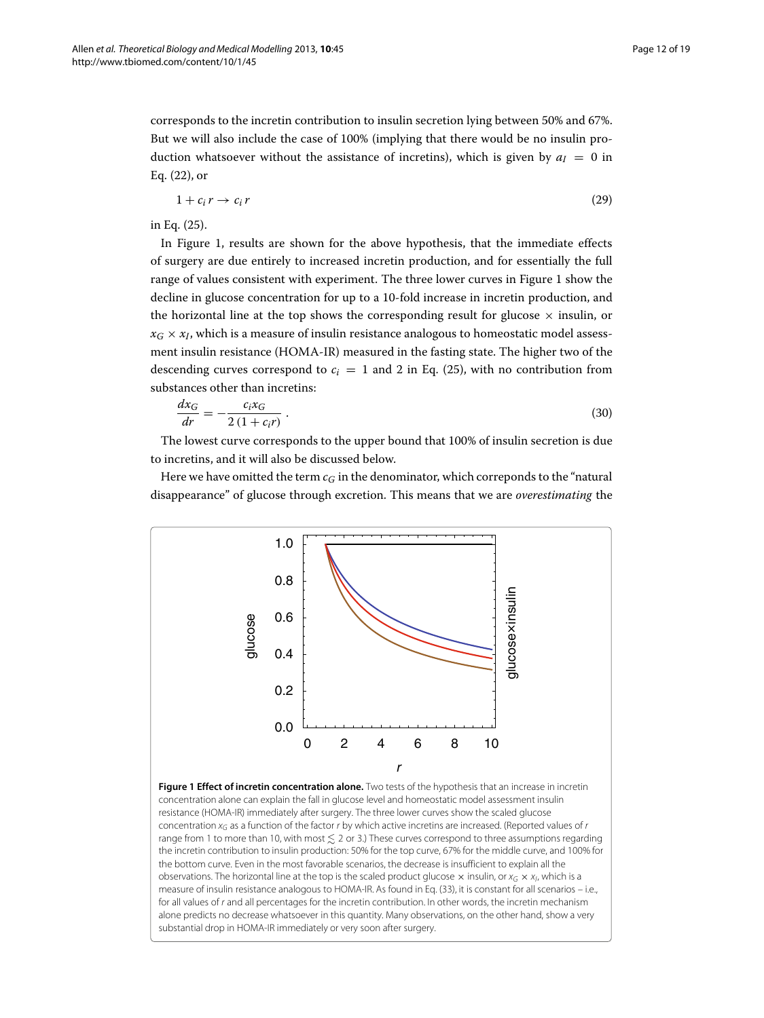corresponds to the incretin contribution to insulin secretion lying between 50% and 67%. But we will also include the case of 100% (implying that there would be no insulin production whatsoever without the assistance of incretins), which is given by  $a<sub>I</sub> = 0$  in Eq. [\(22\)](#page-10-2), or

<span id="page-11-2"></span>
$$
1 + c_i r \to c_i r \tag{29}
$$

in Eq. [\(25\)](#page-10-3).

In Figure [1,](#page-11-0) results are shown for the above hypothesis, that the immediate effects of surgery are due entirely to increased incretin production, and for essentially the full range of values consistent with experiment. The three lower curves in Figure [1](#page-11-0) show the decline in glucose concentration for up to a 10-fold increase in incretin production, and the horizontal line at the top shows the corresponding result for glucose  $\times$  insulin, or  $x_G \times x_I$ , which is a measure of insulin resistance analogous to homeostatic model assessment insulin resistance (HOMA-IR) measured in the fasting state. The higher two of the descending curves correspond to  $c_i = 1$  and 2 in Eq. [\(25\)](#page-10-3), with no contribution from substances other than incretins:

<span id="page-11-1"></span>
$$
\frac{dx_G}{dr} = -\frac{c_i x_G}{2(1 + c_i r)}\,. \tag{30}
$$

The lowest curve corresponds to the upper bound that 100% of insulin secretion is due to incretins, and it will also be discussed below.

Here we have omitted the term  $c_G$  in the denominator, which correponds to the "natural" disappearance" of glucose through excretion. This means that we are *overestimating* the

<span id="page-11-0"></span>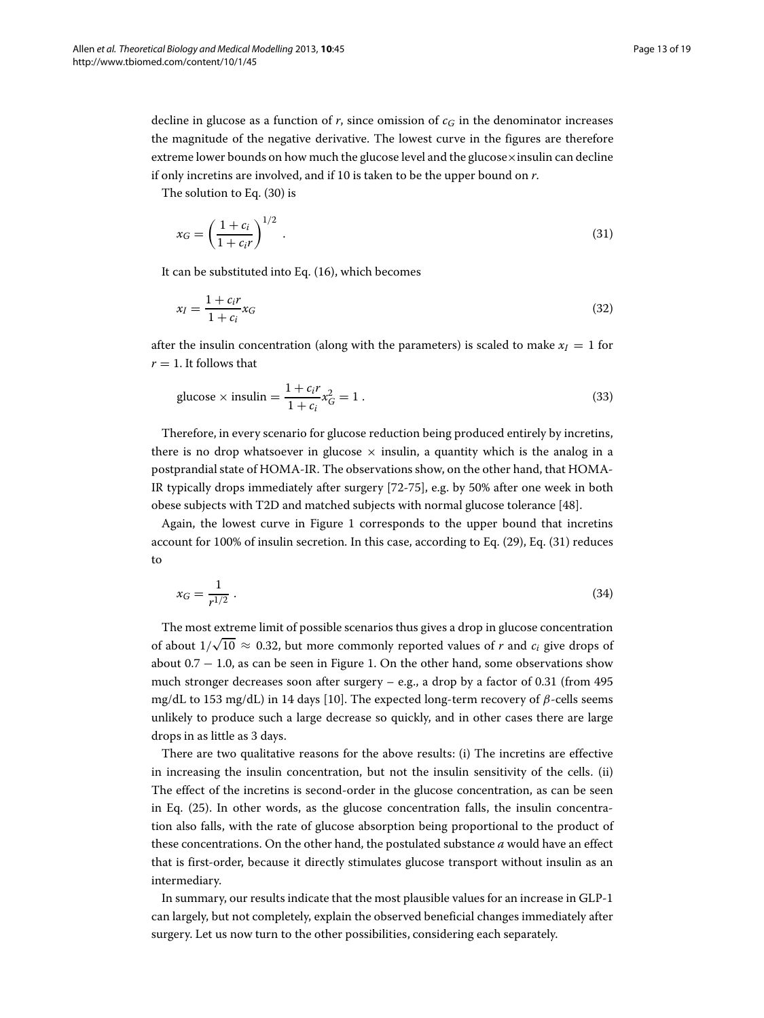decline in glucose as a function of  $r$ , since omission of  $c<sub>G</sub>$  in the denominator increases the magnitude of the negative derivative. The lowest curve in the figures are therefore extreme lower bounds on how much the glucose level and the glucose×insulin can decline if only incretins are involved, and if 10 is taken to be the upper bound on *r*.

The solution to Eq. [\(30\)](#page-11-1) is

<span id="page-12-1"></span>
$$
x_G = \left(\frac{1+c_i}{1+c_i r}\right)^{1/2} \tag{31}
$$

It can be substituted into Eq. [\(16\)](#page-9-1), which becomes

$$
x_I = \frac{1 + c_i r}{1 + c_i} x_G \tag{32}
$$

after the insulin concentration (along with the parameters) is scaled to make  $x<sub>I</sub> = 1$  for  $r = 1$ . It follows that

<span id="page-12-0"></span>
$$
glucose \times insulin = \frac{1 + c_i r}{1 + c_i} x_G^2 = 1.
$$
\n(33)

Therefore, in every scenario for glucose reduction being produced entirely by incretins, there is no drop whatsoever in glucose  $\times$  insulin, a quantity which is the analog in a postprandial state of HOMA-IR. The observations show, on the other hand, that HOMA-IR typically drops immediately after surgery [\[72](#page-18-2)[-75\]](#page-18-3), e.g. by 50% after one week in both obese subjects with T2D and matched subjects with normal glucose tolerance [\[48\]](#page-17-5).

Again, the lowest curve in Figure [1](#page-11-0) corresponds to the upper bound that incretins account for 100% of insulin secretion. In this case, according to Eq. [\(29\)](#page-11-2), Eq. [\(31\)](#page-12-1) reduces to

<span id="page-12-2"></span>
$$
x_G = \frac{1}{r^{1/2}} \,. \tag{34}
$$

The most extreme limit of possible scenarios thus gives a drop in glucose concentration of about  $1/\sqrt{10} \approx 0.32$ , but more commonly reported values of *r* and *c<sub>i</sub>* give drops of about  $0.7 - 1.0$  $0.7 - 1.0$  $0.7 - 1.0$ , as can be seen in Figure 1. On the other hand, some observations show much stronger decreases soon after surgery  $-$  e.g., a drop by a factor of 0.31 (from 495) mg/dL to 153 mg/dL) in 14 days [\[10\]](#page-15-9). The expected long-term recovery of  $\beta$ -cells seems unlikely to produce such a large decrease so quickly, and in other cases there are large drops in as little as 3 days.

There are two qualitative reasons for the above results: (i) The incretins are effective in increasing the insulin concentration, but not the insulin sensitivity of the cells. (ii) The effect of the incretins is second-order in the glucose concentration, as can be seen in Eq. [\(25\)](#page-10-3). In other words, as the glucose concentration falls, the insulin concentration also falls, with the rate of glucose absorption being proportional to the product of these concentrations. On the other hand, the postulated substance *a* would have an effect that is first-order, because it directly stimulates glucose transport without insulin as an intermediary.

In summary, our results indicate that the most plausible values for an increase in GLP-1 can largely, but not completely, explain the observed beneficial changes immediately after surgery. Let us now turn to the other possibilities, considering each separately.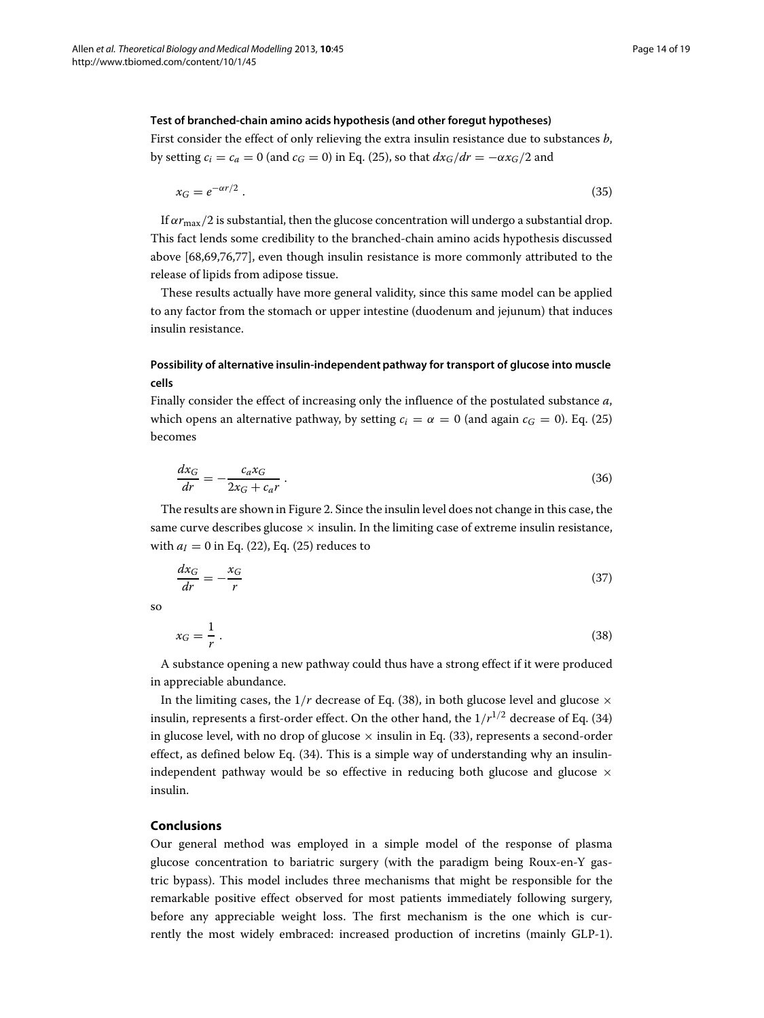# **Test of branched-chain amino acids hypothesis (and other foregut hypotheses)**

First consider the effect of only relieving the extra insulin resistance due to substances *b*, by setting  $c_i = c_a = 0$  (and  $c_f = 0$ ) in Eq. [\(25\)](#page-10-3), so that  $dx_f/dr = -\alpha x_f/2$  and

$$
x_G = e^{-\alpha r/2} \tag{35}
$$

If  $\alpha r_{\text{max}}/2$  is substantial, then the glucose concentration will undergo a substantial drop. This fact lends some credibility to the branched-chain amino acids hypothesis discussed above [\[68](#page-17-21)[,69](#page-17-22)[,76,](#page-18-4)[77\]](#page-18-5), even though insulin resistance is more commonly attributed to the release of lipids from adipose tissue.

These results actually have more general validity, since this same model can be applied to any factor from the stomach or upper intestine (duodenum and jejunum) that induces insulin resistance.

# **Possibility of alternative insulin-independent pathway for transport of glucose into muscle cells**

Finally consider the effect of increasing only the influence of the postulated substance *a*, which opens an alternative pathway, by setting  $c_i = \alpha = 0$  (and again  $c_f = 0$ ). Eq. [\(25\)](#page-10-3) becomes

$$
\frac{dx_G}{dr} = -\frac{c_a x_G}{2x_G + c_a r} \tag{36}
$$

The results are shown in Figure [2.](#page-14-0) Since the insulin level does not change in this case, the same curve describes glucose  $\times$  insulin. In the limiting case of extreme insulin resistance, with  $a_I = 0$  in Eq. [\(22\)](#page-10-2), Eq. [\(25\)](#page-10-3) reduces to

$$
\frac{dx_G}{dr} = -\frac{x_G}{r} \tag{37}
$$

<span id="page-13-0"></span>so

$$
x_G = \frac{1}{r} \tag{38}
$$

A substance opening a new pathway could thus have a strong effect if it were produced in appreciable abundance.

In the limiting cases, the  $1/r$  decrease of Eq. [\(38\)](#page-13-0), in both glucose level and glucose  $\times$ insulin, represents a first-order effect. On the other hand, the  $1/r^{1/2}$  decrease of Eq. [\(34\)](#page-12-2) in glucose level, with no drop of glucose  $\times$  insulin in Eq. [\(33\)](#page-12-0), represents a second-order effect, as defined below Eq. [\(34\)](#page-12-2). This is a simple way of understanding why an insulinindependent pathway would be so effective in reducing both glucose and glucose  $\times$ insulin.

# **Conclusions**

Our general method was employed in a simple model of the response of plasma glucose concentration to bariatric surgery (with the paradigm being Roux-en-Y gastric bypass). This model includes three mechanisms that might be responsible for the remarkable positive effect observed for most patients immediately following surgery, before any appreciable weight loss. The first mechanism is the one which is currently the most widely embraced: increased production of incretins (mainly GLP-1).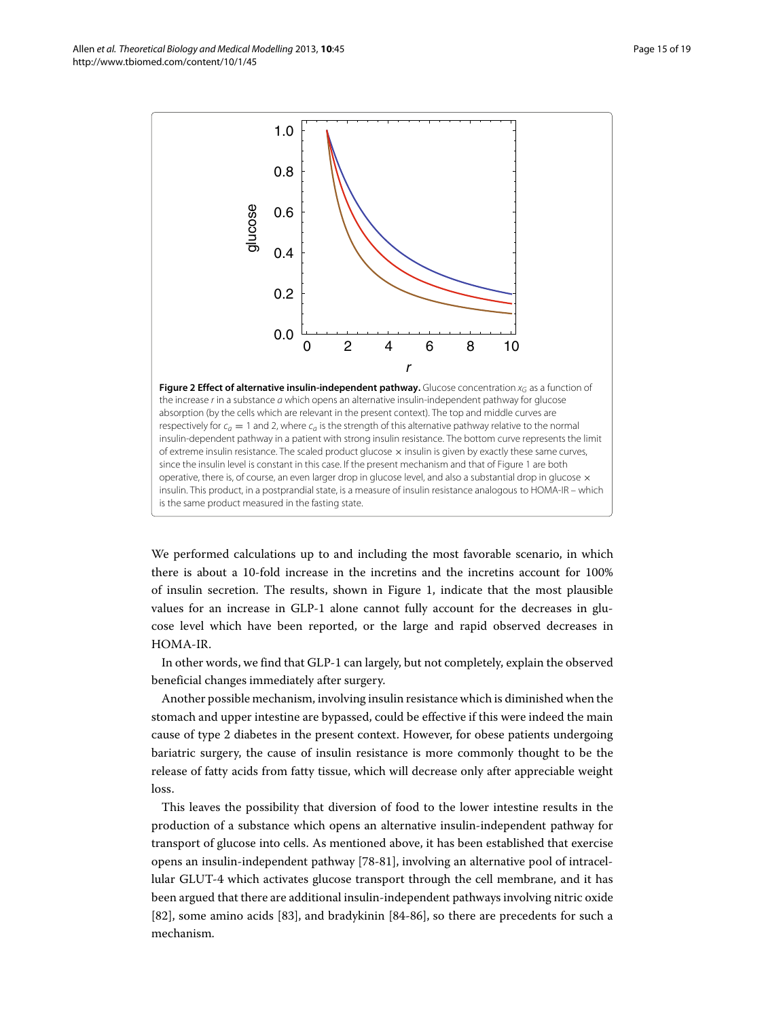<span id="page-14-0"></span>We performed calculations up to and including the most favorable scenario, in which there is about a 10-fold increase in the incretins and the incretins account for 100% of insulin secretion. The results, shown in Figure [1,](#page-11-0) indicate that the most plausible values for an increase in GLP-1 alone cannot fully account for the decreases in glucose level which have been reported, or the large and rapid observed decreases in HOMA-IR.

In other words, we find that GLP-1 can largely, but not completely, explain the observed beneficial changes immediately after surgery.

Another possible mechanism, involving insulin resistance which is diminished when the stomach and upper intestine are bypassed, could be effective if this were indeed the main cause of type 2 diabetes in the present context. However, for obese patients undergoing bariatric surgery, the cause of insulin resistance is more commonly thought to be the release of fatty acids from fatty tissue, which will decrease only after appreciable weight loss.

This leaves the possibility that diversion of food to the lower intestine results in the production of a substance which opens an alternative insulin-independent pathway for transport of glucose into cells. As mentioned above, it has been established that exercise opens an insulin-independent pathway [\[78-](#page-18-6)[81\]](#page-18-7), involving an alternative pool of intracellular GLUT-4 which activates glucose transport through the cell membrane, and it has been argued that there are additional insulin-independent pathways involving nitric oxide [\[82\]](#page-18-8), some amino acids [\[83\]](#page-18-9), and bradykinin [\[84-](#page-18-10)[86\]](#page-18-11), so there are precedents for such a mechanism.

Allen *et al. Theoretical Biology and Medical Modelling* 2013, **10**:45 Page 15 of 19 http://www.tbiomed.com/content/10/1/45

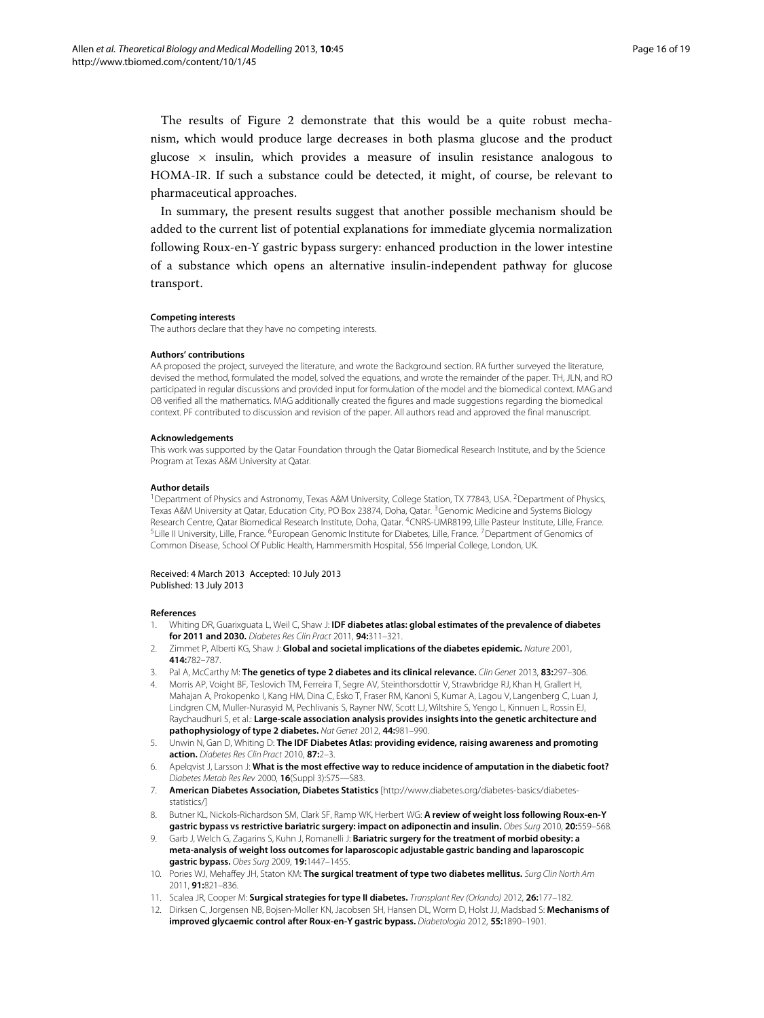The results of Figure [2](#page-14-0) demonstrate that this would be a quite robust mechanism, which would produce large decreases in both plasma glucose and the product glucose  $\times$  insulin, which provides a measure of insulin resistance analogous to HOMA-IR. If such a substance could be detected, it might, of course, be relevant to pharmaceutical approaches.

In summary, the present results suggest that another possible mechanism should be added to the current list of potential explanations for immediate glycemia normalization following Roux-en-Y gastric bypass surgery: enhanced production in the lower intestine of a substance which opens an alternative insulin-independent pathway for glucose transport.

#### **Competing interests**

The authors declare that they have no competing interests.

#### **Authors' contributions**

AA proposed the project, surveyed the literature, and wrote the Background section. RA further surveyed the literature, devised the method, formulated the model, solved the equations, and wrote the remainder of the paper. TH, JLN, and RO participated in regular discussions and provided input for formulation of the model and the biomedical context. MAG and OB verified all the mathematics. MAG additionally created the figures and made suggestions regarding the biomedical context. PF contributed to discussion and revision of the paper. All authors read and approved the final manuscript.

#### **Acknowledgements**

This work was supported by the Qatar Foundation through the Qatar Biomedical Research Institute, and by the Science Program at Texas A&M University at Qatar.

#### **Author details**

<sup>1</sup>Department of Physics and Astronomy, Texas A&M University, College Station, TX 77843, USA. <sup>2</sup>Department of Physics, Texas A&M University at Qatar, Education City, PO Box 23874, Doha, Qatar. 3Genomic Medicine and Systems Biology Research Centre, Qatar Biomedical Research Institute, Doha, Qatar. 4CNRS-UMR8199, Lille Pasteur Institute, Lille, France. <sup>5</sup>Lille II University, Lille, France. <sup>6</sup>European Genomic Institute for Diabetes, Lille, France. <sup>7</sup>Department of Genomics of Common Disease, School Of Public Health, Hammersmith Hospital, 556 Imperial College, London, UK.

#### Received: 4 March 2013 Accepted: 10 July 2013 Published: 13 July 2013

#### **References**

- <span id="page-15-0"></span>1. Whiting DR, Guarixguata L, Weil C, Shaw J: **IDF diabetes atlas: global estimates of the prevalence of diabetes for 2011 and 2030.** *Diabetes Res Clin Pract* 2011, **94:**311–321.
- <span id="page-15-1"></span>2. Zimmet P, Alberti KG, Shaw J: **Global and societal implications of the diabetes epidemic.** *Nature* 2001, **414:**782–787.
- <span id="page-15-2"></span>3. Pal A, McCarthy M: **The genetics of type 2 diabetes and its clinical relevance.** *Clin Genet* 2013, **83:**297–306.
- <span id="page-15-3"></span>4. Morris AP, Voight BF, Teslovich TM, Ferreira T, Segre AV, Steinthorsdottir V, Strawbridge RJ, Khan H, Grallert H, Mahajan A, Prokopenko I, Kang HM, Dina C, Esko T, Fraser RM, Kanoni S, Kumar A, Lagou V, Langenberg C, Luan J, Lindgren CM, Muller-Nurasyid M, Pechlivanis S, Rayner NW, Scott LJ, Wiltshire S, Yengo L, Kinnuen L, Rossin EJ, Raychaudhuri S, et al.: **Large-scale association analysis provides insights into the genetic architecture and pathophysiology of type 2 diabetes.** *Nat Genet* 2012, **44:**981–990.
- <span id="page-15-4"></span>5. Unwin N, Gan D, Whiting D: **The IDF Diabetes Atlas: providing evidence, raising awareness and promoting action.** *Diabetes Res Clin Pract* 2010, **87:**2–3.
- <span id="page-15-5"></span>Apelqvist J, Larsson J: What is the most effective way to reduce incidence of amputation in the diabetic foot? *Diabetes Metab Res Rev* 2000, **16**(Suppl 3):S75—S83.
- <span id="page-15-6"></span>7. **American Diabetes Association, Diabetes Statistics** [\[http://www.diabetes.org/diabetes-basics/diabetes](http://www.diabetes.org/diabetes-basics/diabetes-statistics/)[statistics/\]](http://www.diabetes.org/diabetes-basics/diabetes-statistics/)
- <span id="page-15-7"></span>8. Butner KL, Nickols-Richardson SM, Clark SF, Ramp WK, Herbert WG: **A review of weight loss following Roux-en-Y gastric bypass vs restrictive bariatric surgery: impact on adiponectin and insulin.** *Obes Surg* 2010, **20:**559–568.
- <span id="page-15-8"></span>9. Garb J, Welch G, Zagarins S, Kuhn J, Romanelli J: **Bariatric surgery for the treatment of morbid obesity: a meta-analysis of weight loss outcomes for laparoscopic adjustable gastric banding and laparoscopic gastric bypass.** *Obes Surg* 2009, **19:**1447–1455.
- <span id="page-15-9"></span>10. Pories WJ, Mehaffey JH, Staton KM: **The surgical treatment of type two diabetes mellitus.** *Surg Clin North Am* 2011, **91:**821–836.
- <span id="page-15-10"></span>11. Scalea JR, Cooper M: **Surgical strategies for type II diabetes.** *Transplant Rev (Orlando)* 2012, **26:**177–182.
- <span id="page-15-11"></span>12. Dirksen C, Jorgensen NB, Bojsen-Moller KN, Jacobsen SH, Hansen DL, Worm D, Holst JJ, Madsbad S: **Mechanisms of improved glycaemic control after Roux-en-Y gastric bypass.** *Diabetologia* 2012, **55:**1890–1901.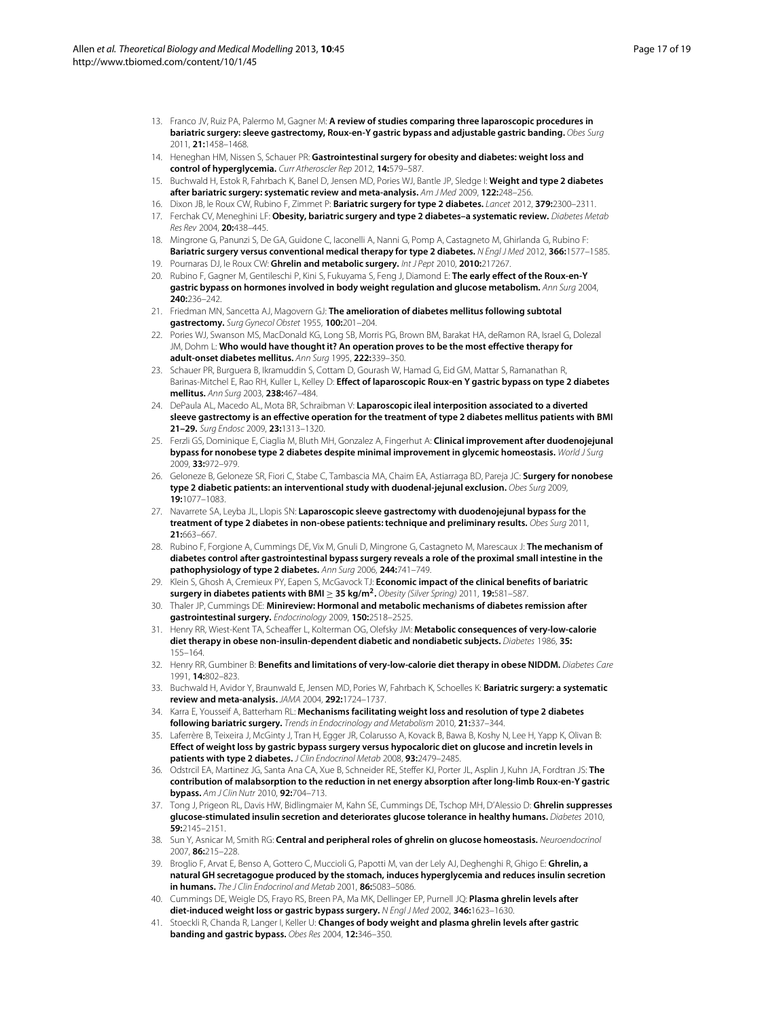- <span id="page-16-0"></span>13. Franco JV, Ruiz PA, Palermo M, Gagner M: **A review of studies comparing three laparoscopic procedures in bariatric surgery: sleeve gastrectomy, Roux-en-Y gastric bypass and adjustable gastric banding.** *Obes Surg* 2011, **21:**1458–1468.
- <span id="page-16-1"></span>14. Heneghan HM, Nissen S, Schauer PR: **Gastrointestinal surgery for obesity and diabetes: weight loss and control of hyperglycemia.** *Curr Atheroscler Rep* 2012, **14:**579–587.
- <span id="page-16-2"></span>15. Buchwald H, Estok R, Fahrbach K, Banel D, Jensen MD, Pories WJ, Bantle JP, Sledge I: **Weight and type 2 diabetes after bariatric surgery: systematic review and meta-analysis.** *Am J Med* 2009, **122:**248–256.
- <span id="page-16-6"></span>16. Dixon JB, le Roux CW, Rubino F, Zimmet P: **Bariatric surgery for type 2 diabetes.** *Lancet* 2012, **379:**2300–2311.
- 17. Ferchak CV, Meneghini LF: **Obesity, bariatric surgery and type 2 diabetes–a systematic review.** *Diabetes Metab Res Rev* 2004, **20:**438–445.
- <span id="page-16-7"></span>18. Mingrone G, Panunzi S, De GA, Guidone C, Iaconelli A, Nanni G, Pomp A, Castagneto M, Ghirlanda G, Rubino F: **Bariatric surgery versus conventional medical therapy for type 2 diabetes.** *N Engl J Med* 2012, **366:**1577–1585.
- <span id="page-16-25"></span>19. Pournaras DJ, le Roux CW: **Ghrelin and metabolic surgery.** *Int J Pept* 2010, **2010:**217267.
- <span id="page-16-3"></span>20. Rubino F, Gagner M, Gentileschi P, Kini S, Fukuyama S, Feng J, Diamond E: **The early effect of the Roux-en-Y gastric bypass on hormones involved in body weight regulation and glucose metabolism.** *Ann Surg* 2004, **240:**236–242.
- <span id="page-16-4"></span>21. Friedman MN, Sancetta AJ, Magovern GJ: **The amelioration of diabetes mellitus following subtotal gastrectomy.** *Surg Gynecol Obstet* 1955, **100:**201–204.
- <span id="page-16-5"></span>22. Pories WJ, Swanson MS, MacDonald KG, Long SB, Morris PG, Brown BM, Barakat HA, deRamon RA, Israel G, Dolezal JM, Dohm L: **Who would have thought it? An operation proves to be the most effective therapy for adult-onset diabetes mellitus.** *Ann Surg* 1995, **222:**339–350.
- <span id="page-16-8"></span>23. Schauer PR, Burguera B, Ikramuddin S, Cottam D, Gourash W, Hamad G, Eid GM, Mattar S, Ramanathan R, Barinas-Mitchel E, Rao RH, Kuller L, Kelley D: **Effect of laparoscopic Roux-en Y gastric bypass on type 2 diabetes mellitus.** *Ann Surg* 2003, **238:**467–484.
- <span id="page-16-9"></span>24. DePaula AL, Macedo AL, Mota BR, Schraibman V: **Laparoscopic ileal interposition associated to a diverted sleeve gastrectomy is an effective operation for the treatment of type 2 diabetes mellitus patients with BMI 21–29.** *Surg Endosc* 2009, **23:**1313–1320.
- 25. Ferzli GS, Dominique E, Ciaglia M, Bluth MH, Gonzalez A, Fingerhut A: **Clinical improvement after duodenojejunal bypass for nonobese type 2 diabetes despite minimal improvement in glycemic homeostasis.** *World J Surg* 2009, **33:**972–979.
- 26. Geloneze B, Geloneze SR, Fiori C, Stabe C, Tambascia MA, Chaim EA, Astiarraga BD, Pareja JC: **Surgery for nonobese type 2 diabetic patients: an interventional study with duodenal-jejunal exclusion.** *Obes Surg* 2009, **19:**1077–1083.
- <span id="page-16-10"></span>27. Navarrete SA, Leyba JL, Llopis SN: **Laparoscopic sleeve gastrectomy with duodenojejunal bypass for the treatment of type 2 diabetes in non-obese patients: technique and preliminary results.** *Obes Surg* 2011, **21:**663–667.
- <span id="page-16-11"></span>28. Rubino F, Forgione A, Cummings DE, Vix M, Gnuli D, Mingrone G, Castagneto M, Marescaux J: **The mechanism of diabetes control after gastrointestinal bypass surgery reveals a role of the proximal small intestine in the pathophysiology of type 2 diabetes.** *Ann Surg* 2006, **244:**741–749.
- <span id="page-16-12"></span>29. Klein S, Ghosh A, Cremieux PY, Eapen S, McGavock TJ: **Economic impact of the clinical benefits of bariatric surgery in diabetes patients with BMI** <sup>≥</sup> **35 kg/m2.** *Obesity (Silver Spring)* 2011, **19:**581–587.
- <span id="page-16-13"></span>30. Thaler JP, Cummings DE: **Minireview: Hormonal and metabolic mechanisms of diabetes remission after gastrointestinal surgery.** *Endocrinology* 2009, **150:**2518–2525.
- <span id="page-16-14"></span>31. Henry RR, Wiest-Kent TA, Scheaffer L, Kolterman OG, Olefsky JM: **Metabolic consequences of very-low-calorie diet therapy in obese non-insulin-dependent diabetic and nondiabetic subjects.** *Diabetes* 1986, **35:** 155–164.
- <span id="page-16-15"></span>32. Henry RR, Gumbiner B: **Benefits and limitations of very-low-calorie diet therapy in obese NIDDM.** *Diabetes Care* 1991, **14:**802–823.
- <span id="page-16-16"></span>33. Buchwald H, Avidor Y, Braunwald E, Jensen MD, Pories W, Fahrbach K, Schoelles K: **Bariatric surgery: a systematic review and meta-analysis.** *JAMA* 2004, **292:**1724–1737.
- <span id="page-16-17"></span>34. Karra E, Yousseif A, Batterham RL: **Mechanisms facilitating weight loss and resolution of type 2 diabetes following bariatric surgery.** *Trends in Endocrinology and Metabolism* 2010, **21:**337–344.
- <span id="page-16-18"></span>35. Laferrère B, Teixeira J, McGinty J, Tran H, Egger JR, Colarusso A, Kovack B, Bawa B, Koshy N, Lee H, Yapp K, Olivan B: **Effect of weight loss by gastric bypass surgery versus hypocaloric diet on glucose and incretin levels in patients with type 2 diabetes.** *J Clin Endocrinol Metab* 2008, **93:**2479–2485.
- <span id="page-16-19"></span>36. Odstrcil EA, Martinez JG, Santa Ana CA, Xue B, Schneider RE, Steffer KJ, Porter JL, Asplin J, Kuhn JA, Fordtran JS: **The contribution of malabsorption to the reduction in net energy absorption after long-limb Roux-en-Y gastric bypass.** *Am J Clin Nutr* 2010, **92:**704–713.
- <span id="page-16-20"></span>37. Tong J, Prigeon RL, Davis HW, Bidlingmaier M, Kahn SE, Cummings DE, Tschop MH, D'Alessio D: **Ghrelin suppresses glucose-stimulated insulin secretion and deteriorates glucose tolerance in healthy humans.** *Diabetes* 2010, **59:**2145–2151.
- <span id="page-16-21"></span>38. Sun Y, Asnicar M, Smith RG: **Central and peripheral roles of ghrelin on glucose homeostasis.** *Neuroendocrinol* 2007, **86:**215–228.
- <span id="page-16-22"></span>39. Broglio F, Arvat E, Benso A, Gottero C, Muccioli G, Papotti M, van der Lely AJ, Deghenghi R, Ghigo E: **Ghrelin, a natural GH secretagogue produced by the stomach, induces hyperglycemia and reduces insulin secretion in humans.** *The J Clin Endocrinol and Metab* 2001, **86:**5083–5086.
- <span id="page-16-23"></span>40. Cummings DE, Weigle DS, Frayo RS, Breen PA, Ma MK, Dellinger EP, Purnell JQ: **Plasma ghrelin levels after diet-induced weight loss or gastric bypass surgery.** *N Engl J Med* 2002, **346:**1623–1630.
- <span id="page-16-24"></span>41. Stoeckli R, Chanda R, Langer I, Keller U: **Changes of body weight and plasma ghrelin levels after gastric banding and gastric bypass.** *Obes Res* 2004, **12:**346–350.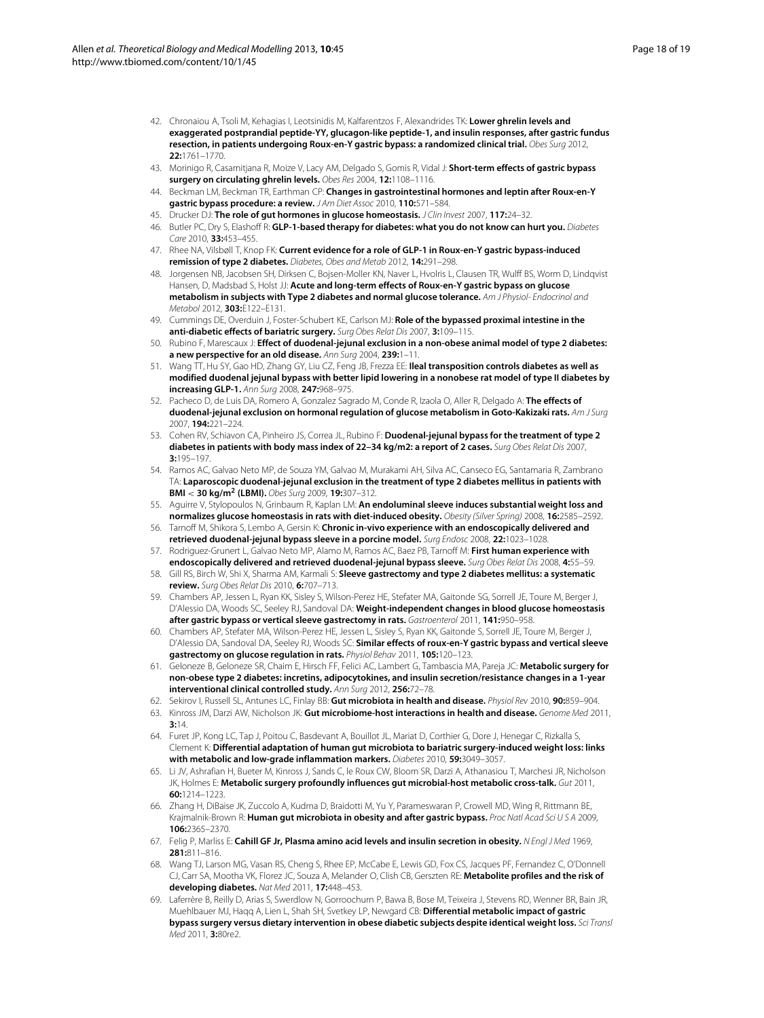- 42. Chronaiou A, Tsoli M, Kehagias I, Leotsinidis M, Kalfarentzos F, Alexandrides TK: **Lower ghrelin levels and exaggerated postprandial peptide-YY, glucagon-like peptide-1, and insulin responses, after gastric fundus resection, in patients undergoing Roux-en-Y gastric bypass: a randomized clinical trial.** *Obes Surg* 2012, **22:**1761–1770.
- <span id="page-17-0"></span>43. Morinigo R, Casamitjana R, Moize V, Lacy AM, Delgado S, Gomis R, Vidal J: **Short-term effects of gastric bypass surgery on circulating ghrelin levels.** *Obes Res* 2004, **12:**1108–1116.
- <span id="page-17-1"></span>44. Beckman LM, Beckman TR, Earthman CP: **Changes in gastrointestinal hormones and leptin after Roux-en-Y gastric bypass procedure: a review.** *J Am Diet Assoc* 2010, **110:**571–584.
- <span id="page-17-2"></span>45. Drucker DJ: **The role of gut hormones in glucose homeostasis.** *J Clin Invest* 2007, **117:**24–32.
- <span id="page-17-3"></span>46. Butler PC, Dry S, Elashoff R: **GLP-1-based therapy for diabetes: what you do not know can hurt you.** *Diabetes Care* 2010, **33:**453–455.
- <span id="page-17-4"></span>47. Rhee NA, Vilsbøll T, Knop FK: **Current evidence for a role of GLP-1 in Roux-en-Y gastric bypass-induced remission of type 2 diabetes.** *Diabetes, Obes and Metab* 2012, **14:**291–298.
- <span id="page-17-5"></span>48. Jorgensen NB, Jacobsen SH, Dirksen C, Bojsen-Moller KN, Naver L, Hvolris L, Clausen TR, Wulff BS, Worm D, Lindqvist Hansen, D, Madsbad S, Holst JJ: **Acute and long-term effects of Roux-en-Y gastric bypass on glucose metabolism in subjects with Type 2 diabetes and normal glucose tolerance.** *Am J Physiol- Endocrinol and Metabol* 2012, **303:**E122–E131.
- <span id="page-17-6"></span>49. Cummings DE, Overduin J, Foster-Schubert KE, Carlson MJ: **Role of the bypassed proximal intestine in the anti-diabetic effects of bariatric surgery.** *Surg Obes Relat Dis* 2007, **3:**109–115.
- 50. Rubino F, Marescaux J: **Effect of duodenal-jejunal exclusion in a non-obese animal model of type 2 diabetes: a new perspective for an old disease.** *Ann Surg* 2004, **239:**1–11.
- 51. Wang TT, Hu SY, Gao HD, Zhang GY, Liu CZ, Feng JB, Frezza EE: **Ileal transposition controls diabetes as well as modified duodenal jejunal bypass with better lipid lowering in a nonobese rat model of type II diabetes by increasing GLP-1.** *Ann Surg* 2008, **247:**968–975.
- <span id="page-17-7"></span>52. Pacheco D, de Luis DA, Romero A, Gonzalez Sagrado M, Conde R, Izaola O, Aller R, Delgado A: **The effects of duodenal-jejunal exclusion on hormonal regulation of glucose metabolism in Goto-Kakizaki rats.** *Am J Surg* 2007, **194:**221–224.
- <span id="page-17-8"></span>53. Cohen RV, Schiavon CA, Pinheiro JS, Correa JL, Rubino F: **Duodenal-jejunal bypass for the treatment of type 2 diabetes in patients with body mass index of 22–34 kg/m2: a report of 2 cases.** *Surg Obes Relat Dis* 2007, **3:**195–197.
- <span id="page-17-9"></span>54. Ramos AC, Galvao Neto MP, de Souza YM, Galvao M, Murakami AH, Silva AC, Canseco EG, Santamaria R, Zambrano TA: **Laparoscopic duodenal-jejunal exclusion in the treatment of type 2 diabetes mellitus in patients with BMI** < **30 kg/m2 (LBMI).** *Obes Surg* 2009, **19:**307–312.
- <span id="page-17-10"></span>55. Aguirre V, Stylopoulos N, Grinbaum R, Kaplan LM: **An endoluminal sleeve induces substantial weight loss and normalizes glucose homeostasis in rats with diet-induced obesity.** *Obesity (Silver Spring)* 2008, **16:**2585–2592.
- <span id="page-17-11"></span>56. Tarnoff M, Shikora S, Lembo A, Gersin K: **Chronic in-vivo experience with an endoscopically delivered and retrieved duodenal-jejunal bypass sleeve in a porcine model.** *Surg Endosc* 2008, **22:**1023–1028.
- <span id="page-17-12"></span>57. Rodriguez-Grunert L, Galvao Neto MP, Alamo M, Ramos AC, Baez PB, Tarnoff M: **First human experience with endoscopically delivered and retrieved duodenal-jejunal bypass sleeve.** *Surg Obes Relat Dis* 2008, **4:**55–59.
- <span id="page-17-13"></span>58. Gill RS, Birch W, Shi X, Sharma AM, Karmali S: **Sleeve gastrectomy and type 2 diabetes mellitus: a systematic review.** *Surg Obes Relat Dis* 2010, **6:**707–713.
- 59. Chambers AP, Jessen L, Ryan KK, Sisley S, Wilson-Perez HE, Stefater MA, Gaitonde SG, Sorrell JE, Toure M, Berger J, D'Alessio DA, Woods SC, Seeley RJ, Sandoval DA: **Weight-independent changes in blood glucose homeostasis after gastric bypass or vertical sleeve gastrectomy in rats.** *Gastroenterol* 2011, **141:**950–958.
- <span id="page-17-14"></span>60. Chambers AP, Stefater MA, Wilson-Perez HE, Jessen L, Sisley S, Ryan KK, Gaitonde S, Sorrell JE, Toure M, Berger J, D'Alessio DA, Sandoval DA, Seeley RJ, Woods SC: **Similar effects of roux-en-Y gastric bypass and vertical sleeve gastrectomy on glucose regulation in rats.** *Physiol Behav* 2011, **105:**120–123.
- <span id="page-17-15"></span>61. Geloneze B, Geloneze SR, Chaim E, Hirsch FF, Felici AC, Lambert G, Tambascia MA, Pareja JC: **Metabolic surgery for non-obese type 2 diabetes: incretins, adipocytokines, and insulin secretion/resistance changes in a 1-year interventional clinical controlled study.** *Ann Surg* 2012, **256:**72–78.
- <span id="page-17-16"></span>62. Sekirov I, Russell SL, Antunes LC, Finlay BB: **Gut microbiota in health and disease.** *Physiol Rev* 2010, **90:**859–904.
- <span id="page-17-17"></span>63. Kinross JM, Darzi AW, Nicholson JK: **Gut microbiome-host interactions in health and disease.** *Genome Med* 2011, **3:**14.
- <span id="page-17-18"></span>64. Furet JP, Kong LC, Tap J, Poitou C, Basdevant A, Bouillot JL, Mariat D, Corthier G, Dore J, Henegar C, Rizkalla S, Clement K: **Differential adaptation of human gut microbiota to bariatric surgery-induced weight loss: links with metabolic and low-grade inflammation markers.** *Diabetes* 2010, **59:**3049–3057.
- 65. Li JV, Ashrafian H, Bueter M, Kinross J, Sands C, le Roux CW, Bloom SR, Darzi A, Athanasiou T, Marchesi JR, Nicholson JK, Holmes E: **Metabolic surgery profoundly influences gut microbial-host metabolic cross-talk.** *Gut* 2011, **60:**1214–1223.
- <span id="page-17-19"></span>66. Zhang H, DiBaise JK, Zuccolo A, Kudrna D, Braidotti M, Yu Y, Parameswaran P, Crowell MD, Wing R, Rittmann BE, Krajmalnik-Brown R: **Human gut microbiota in obesity and after gastric bypass.** *Proc Natl Acad Sci U S A* 2009, **106:**2365–2370.
- <span id="page-17-20"></span>67. Felig P, Marliss E: **Cahill GF Jr, Plasma amino acid levels and insulin secretion in obesity.** *N Engl J Med* 1969, **281:**811–816.
- <span id="page-17-21"></span>68. Wang TJ, Larson MG, Vasan RS, Cheng S, Rhee EP, McCabe E, Lewis GD, Fox CS, Jacques PF, Fernandez C, O'Donnell CJ, Carr SA, Mootha VK, Florez JC, Souza A, Melander O, Clish CB, Gerszten RE: **Metabolite profiles and the risk of developing diabetes.** *Nat Med* 2011, **17:**448–453.
- <span id="page-17-22"></span>69. Laferrère B, Reilly D, Arias S, Swerdlow N, Gorroochurn P, Bawa B, Bose M, Teixeira J, Stevens RD, Wenner BR, Bain JR, Muehlbauer MJ, Haqq A, Lien L, Shah SH, Svetkey LP, Newgard CB: **Differential metabolic impact of gastric bypass surgery versus dietary intervention in obese diabetic subjects despite identical weight loss.** *Sci Transl Med* 2011, **3:**80re2.